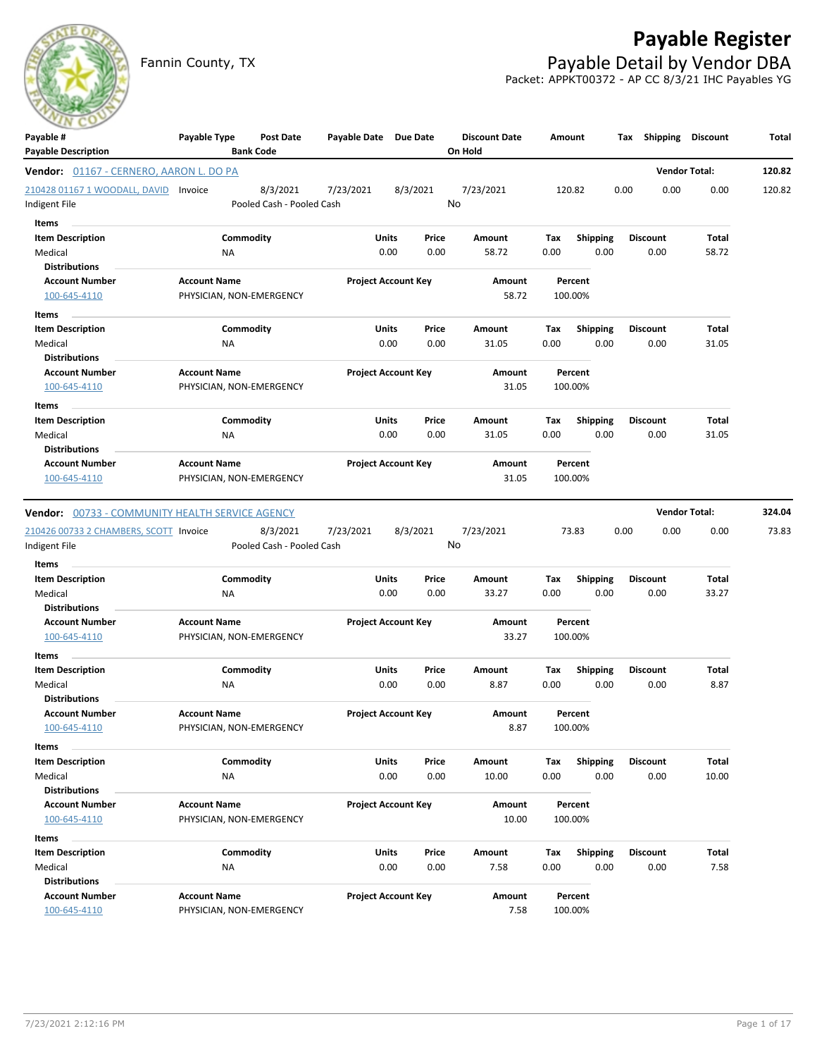

Fannin County, TX **Payable Detail by Vendor DBA** 

|                                                                  |                                                 |                                                    |                                       |                                 |             |                         | Packet: APPKT00372 - AP CC 8/3/21 IHC Payables YG |                      |        |
|------------------------------------------------------------------|-------------------------------------------------|----------------------------------------------------|---------------------------------------|---------------------------------|-------------|-------------------------|---------------------------------------------------|----------------------|--------|
| Payable #<br><b>Payable Description</b>                          | Payable Type<br><b>Bank Code</b>                | Payable Date Due Date<br><b>Post Date</b>          |                                       | <b>Discount Date</b><br>On Hold |             | Amount                  | Shipping<br>Tax                                   | Discount             | Total  |
| <b>Vendor:</b> 01167 - CERNERO, AARON L. DO PA                   |                                                 |                                                    |                                       |                                 |             |                         |                                                   | <b>Vendor Total:</b> | 120.82 |
| 210428 01167 1 WOODALL, DAVID Invoice                            |                                                 | 8/3/2021<br>7/23/2021                              | 8/3/2021                              | 7/23/2021                       |             | 120.82                  | 0.00<br>0.00                                      | 0.00                 | 120.82 |
| Indigent File                                                    |                                                 | Pooled Cash - Pooled Cash                          |                                       | No                              |             |                         |                                                   |                      |        |
| Items                                                            |                                                 |                                                    |                                       |                                 |             |                         |                                                   |                      |        |
| <b>Item Description</b>                                          | Commodity                                       |                                                    | Units<br>Price                        | Amount                          | Tax         | <b>Shipping</b>         | <b>Discount</b>                                   | Total                |        |
| Medical                                                          | ΝA                                              |                                                    | 0.00<br>0.00                          | 58.72                           | 0.00        | 0.00                    | 0.00                                              | 58.72                |        |
| Distributions                                                    |                                                 |                                                    |                                       |                                 |             |                         |                                                   |                      |        |
| <b>Account Number</b>                                            | <b>Account Name</b>                             |                                                    | <b>Project Account Key</b>            | Amount                          |             | Percent                 |                                                   |                      |        |
| 100-645-4110                                                     | PHYSICIAN, NON-EMERGENCY                        |                                                    |                                       | 58.72                           |             | 100.00%                 |                                                   |                      |        |
| Items                                                            |                                                 |                                                    |                                       |                                 |             |                         |                                                   |                      |        |
| <b>Item Description</b>                                          | Commodity                                       |                                                    | Units<br>Price                        | Amount                          | Тах         | <b>Shipping</b>         | Discount                                          | Total                |        |
| Medical                                                          | ΝA                                              |                                                    | 0.00<br>0.00                          | 31.05                           | 0.00        | 0.00                    | 0.00                                              | 31.05                |        |
| <b>Distributions</b>                                             | <b>Account Name</b>                             |                                                    |                                       |                                 |             |                         |                                                   |                      |        |
| <b>Account Number</b><br>100-645-4110                            | PHYSICIAN, NON-EMERGENCY                        |                                                    | <b>Project Account Key</b>            | Amount<br>31.05                 |             | Percent<br>100.00%      |                                                   |                      |        |
|                                                                  |                                                 |                                                    |                                       |                                 |             |                         |                                                   |                      |        |
| <b>Items</b>                                                     |                                                 |                                                    |                                       |                                 |             |                         |                                                   |                      |        |
| <b>Item Description</b><br>Medical                               | Commodity<br>ΝA                                 |                                                    | <b>Units</b><br>Price<br>0.00<br>0.00 | Amount<br>31.05                 | Tax<br>0.00 | <b>Shipping</b><br>0.00 | <b>Discount</b><br>0.00                           | Total<br>31.05       |        |
| <b>Distributions</b>                                             |                                                 |                                                    |                                       |                                 |             |                         |                                                   |                      |        |
| <b>Account Number</b>                                            | <b>Account Name</b>                             |                                                    | <b>Project Account Key</b>            | Amount                          |             | Percent                 |                                                   |                      |        |
| 100-645-4110                                                     | PHYSICIAN, NON-EMERGENCY                        |                                                    |                                       | 31.05                           |             | 100.00%                 |                                                   |                      |        |
| 210426 00733 2 CHAMBERS, SCOTT Invoice<br>Indigent File<br>Items |                                                 | 8/3/2021<br>7/23/2021<br>Pooled Cash - Pooled Cash | 8/3/2021                              | 7/23/2021<br>No                 |             | 73.83                   | 0.00<br>0.00                                      | 0.00                 | 73.83  |
| <b>Item Description</b>                                          | Commodity                                       |                                                    | Units<br>Price                        | Amount                          | Tax         | <b>Shipping</b>         | <b>Discount</b>                                   | Total                |        |
| Medical                                                          | NA                                              |                                                    | 0.00<br>0.00                          | 33.27                           | 0.00        | 0.00                    | 0.00                                              | 33.27                |        |
| <b>Distributions</b>                                             |                                                 |                                                    |                                       |                                 |             |                         |                                                   |                      |        |
| <b>Account Number</b>                                            | <b>Account Name</b>                             |                                                    | <b>Project Account Key</b>            | Amount                          |             | Percent                 |                                                   |                      |        |
| 100-645-4110                                                     | PHYSICIAN, NON-EMERGENCY                        |                                                    |                                       | 33.27                           |             | 100.00%                 |                                                   |                      |        |
| Items                                                            |                                                 |                                                    |                                       |                                 |             |                         |                                                   |                      |        |
| <b>Item Description</b>                                          | Commodity                                       |                                                    | Units<br>Price                        | Amount                          | Tax         | Shipping                | Discount                                          | Total                |        |
| Medical                                                          | ΝA                                              |                                                    | 0.00<br>0.00                          | 8.87                            | 0.00        | 0.00                    | 0.00                                              | 8.87                 |        |
| <b>Distributions</b>                                             |                                                 |                                                    |                                       |                                 |             |                         |                                                   |                      |        |
| <b>Account Number</b>                                            | <b>Account Name</b><br>PHYSICIAN, NON-EMERGENCY |                                                    | <b>Project Account Key</b>            | Amount<br>8.87                  |             | Percent                 |                                                   |                      |        |
| 100-645-4110                                                     |                                                 |                                                    |                                       |                                 |             | 100.00%                 |                                                   |                      |        |
| Items                                                            |                                                 |                                                    |                                       |                                 |             |                         |                                                   |                      |        |
| <b>Item Description</b>                                          | Commodity                                       |                                                    | Units<br>Price<br>0.00                | Amount                          | Tax         | <b>Shipping</b>         | <b>Discount</b>                                   | Total<br>10.00       |        |
| Medical<br><b>Distributions</b>                                  | NA                                              |                                                    | 0.00                                  | 10.00                           | 0.00        | 0.00                    | 0.00                                              |                      |        |
| <b>Account Number</b>                                            | <b>Account Name</b>                             |                                                    | <b>Project Account Key</b>            | Amount                          |             | Percent                 |                                                   |                      |        |
| 100-645-4110                                                     | PHYSICIAN, NON-EMERGENCY                        |                                                    |                                       | 10.00                           |             | 100.00%                 |                                                   |                      |        |
| Items                                                            |                                                 |                                                    |                                       |                                 |             |                         |                                                   |                      |        |
| <b>Item Description</b>                                          | Commodity                                       |                                                    | Units<br>Price                        | Amount                          | Tax         | <b>Shipping</b>         | <b>Discount</b>                                   | Total                |        |
| Medical                                                          | ΝA                                              |                                                    | 0.00<br>0.00                          | 7.58                            | 0.00        | 0.00                    | 0.00                                              | 7.58                 |        |
| <b>Distributions</b>                                             |                                                 |                                                    |                                       |                                 |             |                         |                                                   |                      |        |
| <b>Account Number</b>                                            | <b>Account Name</b>                             |                                                    | <b>Project Account Key</b>            | Amount                          |             | Percent                 |                                                   |                      |        |
| 100-645-4110                                                     | PHYSICIAN, NON-EMERGENCY                        |                                                    |                                       | 7.58                            |             | 100.00%                 |                                                   |                      |        |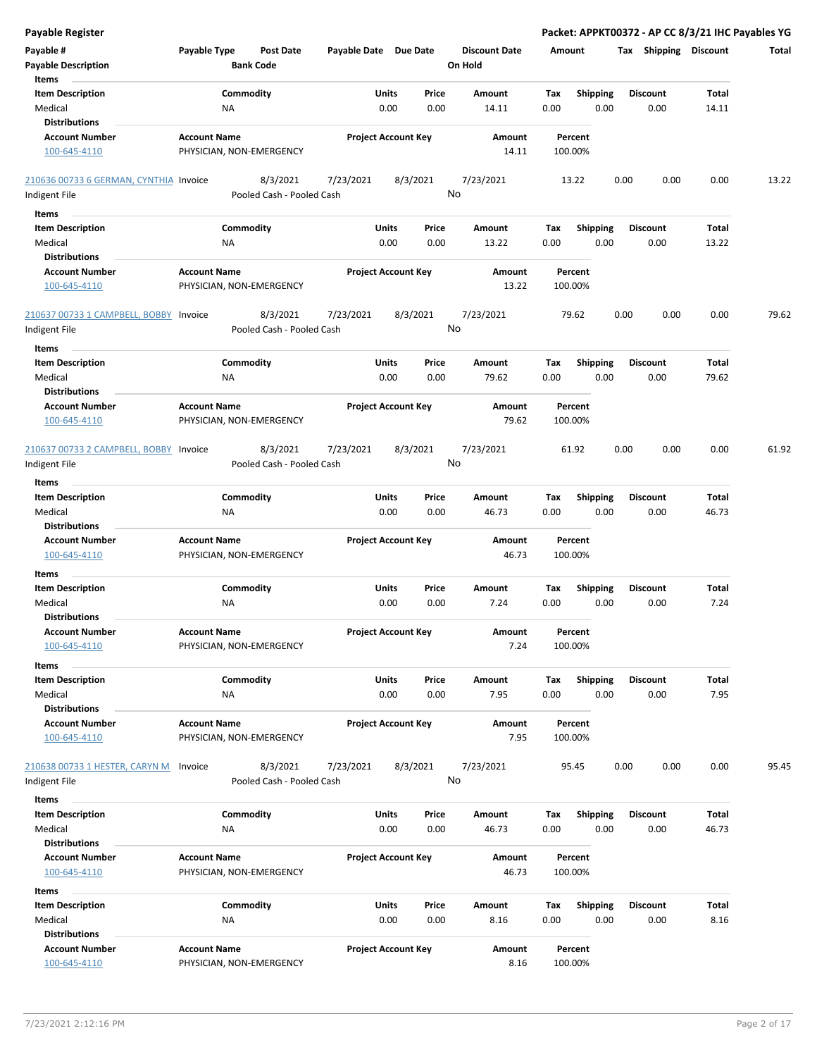| Payable #<br>Payable Type<br><b>Post Date</b><br>Payable Date Due Date<br><b>Discount Date</b><br><b>Tax Shipping Discount</b><br>Amount<br>Total<br><b>Bank Code</b><br><b>Payable Description</b><br>On Hold<br>Items<br><b>Item Description</b><br>Commodity<br>Units<br>Price<br>Amount<br>Tax<br><b>Shipping</b><br><b>Discount</b><br>Total<br>Medical<br>ΝA<br>0.00<br>0.00<br>0.00<br>0.00<br>0.00<br>14.11<br>14.11<br><b>Distributions</b><br><b>Account Number</b><br><b>Account Name</b><br><b>Project Account Key</b><br>Amount<br>Percent<br>PHYSICIAN, NON-EMERGENCY<br>100-645-4110<br>14.11<br>100.00%<br>8/3/2021<br>7/23/2021<br>8/3/2021<br>7/23/2021<br>0.00<br>210636 00733 6 GERMAN, CYNTHIA Invoice<br>13.22<br>0.00<br>0.00<br>13.22<br>No<br>Pooled Cash - Pooled Cash<br>Indigent File<br>Items<br><b>Item Description</b><br>Commodity<br><b>Shipping</b><br>Units<br>Price<br>Amount<br>Tax<br>Discount<br>Total<br>0.00<br>Medical<br>0.00<br>0.00<br>13.22<br>0.00<br>0.00<br>13.22<br>ΝA<br><b>Distributions</b><br><b>Account Name</b><br><b>Project Account Key</b><br><b>Account Number</b><br>Amount<br>Percent<br>13.22<br>100.00%<br>100-645-4110<br>PHYSICIAN, NON-EMERGENCY<br>210637 00733 1 CAMPBELL, BOBBY Invoice<br>8/3/2021<br>7/23/2021<br>8/3/2021<br>7/23/2021<br>79.62<br>0.00<br>0.00<br>0.00<br>79.62<br>No<br>Pooled Cash - Pooled Cash<br>Indigent File<br>Items<br>Commodity<br><b>Shipping</b><br><b>Item Description</b><br>Units<br>Price<br>Amount<br>Tax<br>Discount<br>Total<br>0.00<br>Medical<br>NA<br>0.00<br>0.00<br>79.62<br>0.00<br>0.00<br>79.62<br><b>Distributions</b><br><b>Project Account Key</b><br><b>Account Number</b><br><b>Account Name</b><br>Amount<br>Percent<br>79.62<br>100-645-4110<br>PHYSICIAN, NON-EMERGENCY<br>100.00%<br>210637 00733 2 CAMPBELL, BOBBY Invoice<br>8/3/2021<br>7/23/2021<br>8/3/2021<br>7/23/2021<br>61.92<br>0.00<br>0.00<br>0.00<br>61.92<br>No<br>Indigent File<br>Pooled Cash - Pooled Cash<br>Items<br><b>Item Description</b><br>Commodity<br><b>Shipping</b><br>Total<br>Units<br>Price<br>Amount<br>Tax<br>Discount<br>0.00<br>0.00<br>46.73<br>0.00<br>0.00<br>0.00<br>46.73<br>Medical<br>NA<br><b>Distributions</b><br><b>Account Name</b><br><b>Project Account Key</b><br><b>Account Number</b><br>Amount<br>Percent<br>46.73<br>100.00%<br>100-645-4110<br>PHYSICIAN, NON-EMERGENCY<br>Items<br><b>Item Description</b><br>Commodity<br>Units<br>Price<br>Amount<br>Tax<br><b>Shipping</b><br>Discount<br>Total<br>Medical<br>0.00<br>0.00<br>7.24<br>0.00<br>0.00<br>0.00<br>7.24<br>ΝA<br><b>Distributions</b><br><b>Account Number</b><br><b>Account Name</b><br><b>Project Account Key</b><br>Amount<br>Percent<br>100.00%<br>100-645-4110<br>PHYSICIAN, NON-EMERGENCY<br>7.24<br>Items<br><b>Item Description</b><br>Commodity<br>Units<br>Price<br>Shipping<br><b>Discount</b><br>Total<br>Amount<br>Tax<br>Medical<br>0.00<br>0.00<br>7.95<br>0.00<br>0.00<br>0.00<br>7.95<br>NA<br><b>Distributions</b><br><b>Account Number</b><br><b>Account Name</b><br><b>Project Account Key</b><br>Amount<br>Percent<br>100-645-4110<br>PHYSICIAN, NON-EMERGENCY<br>7.95<br>100.00%<br>8/3/2021<br>7/23/2021<br>0.00<br>95.45<br>210638 00733 1 HESTER, CARYN M<br>7/23/2021<br>8/3/2021<br>95.45<br>0.00<br>0.00<br>Invoice<br>No<br>Pooled Cash - Pooled Cash<br>Indigent File<br>Items<br><b>Item Description</b><br>Commodity<br>Units<br><b>Shipping</b><br><b>Discount</b><br>Price<br>Amount<br>Tax<br>Total<br>0.00<br>46.73<br>46.73<br>Medical<br>ΝA<br>0.00<br>0.00<br>0.00<br>0.00<br><b>Distributions</b><br><b>Account Number</b><br><b>Account Name</b><br><b>Project Account Key</b><br>Amount<br>Percent<br>46.73<br>100-645-4110<br>PHYSICIAN, NON-EMERGENCY<br>100.00%<br>Items<br><b>Item Description</b><br>Commodity<br>Units<br>Price<br>Amount<br><b>Shipping</b><br><b>Discount</b><br>Total<br>Tax<br>0.00<br>Medical<br>0.00<br>0.00<br>8.16<br>0.00<br>0.00<br>8.16<br>NA<br><b>Distributions</b><br><b>Account Number</b><br><b>Account Name</b><br><b>Project Account Key</b><br>Amount<br>Percent<br>100-645-4110<br>8.16<br>100.00%<br>PHYSICIAN, NON-EMERGENCY | <b>Payable Register</b> |  |  | Packet: APPKT00372 - AP CC 8/3/21 IHC Payables YG |  |
|-----------------------------------------------------------------------------------------------------------------------------------------------------------------------------------------------------------------------------------------------------------------------------------------------------------------------------------------------------------------------------------------------------------------------------------------------------------------------------------------------------------------------------------------------------------------------------------------------------------------------------------------------------------------------------------------------------------------------------------------------------------------------------------------------------------------------------------------------------------------------------------------------------------------------------------------------------------------------------------------------------------------------------------------------------------------------------------------------------------------------------------------------------------------------------------------------------------------------------------------------------------------------------------------------------------------------------------------------------------------------------------------------------------------------------------------------------------------------------------------------------------------------------------------------------------------------------------------------------------------------------------------------------------------------------------------------------------------------------------------------------------------------------------------------------------------------------------------------------------------------------------------------------------------------------------------------------------------------------------------------------------------------------------------------------------------------------------------------------------------------------------------------------------------------------------------------------------------------------------------------------------------------------------------------------------------------------------------------------------------------------------------------------------------------------------------------------------------------------------------------------------------------------------------------------------------------------------------------------------------------------------------------------------------------------------------------------------------------------------------------------------------------------------------------------------------------------------------------------------------------------------------------------------------------------------------------------------------------------------------------------------------------------------------------------------------------------------------------------------------------------------------------------------------------------------------------------------------------------------------------------------------------------------------------------------------------------------------------------------------------------------------------------------------------------------------------------------------------------------------------------------------------------------------------------------------------------------------------------------------------------------------------------------------------------------------------------------------------------------------------------------------------------------------------------------------------------------------------------------------------------------------------------------------------------------------------------------------------------------------------------------------------------------------------------------------------------------------------------------------------------------------------------------------------------------------------------------------------|-------------------------|--|--|---------------------------------------------------|--|
|                                                                                                                                                                                                                                                                                                                                                                                                                                                                                                                                                                                                                                                                                                                                                                                                                                                                                                                                                                                                                                                                                                                                                                                                                                                                                                                                                                                                                                                                                                                                                                                                                                                                                                                                                                                                                                                                                                                                                                                                                                                                                                                                                                                                                                                                                                                                                                                                                                                                                                                                                                                                                                                                                                                                                                                                                                                                                                                                                                                                                                                                                                                                                                                                                                                                                                                                                                                                                                                                                                                                                                                                                                                                                                                                                                                                                                                                                                                                                                                                                                                                                                                                                                                                                       |                         |  |  |                                                   |  |
|                                                                                                                                                                                                                                                                                                                                                                                                                                                                                                                                                                                                                                                                                                                                                                                                                                                                                                                                                                                                                                                                                                                                                                                                                                                                                                                                                                                                                                                                                                                                                                                                                                                                                                                                                                                                                                                                                                                                                                                                                                                                                                                                                                                                                                                                                                                                                                                                                                                                                                                                                                                                                                                                                                                                                                                                                                                                                                                                                                                                                                                                                                                                                                                                                                                                                                                                                                                                                                                                                                                                                                                                                                                                                                                                                                                                                                                                                                                                                                                                                                                                                                                                                                                                                       |                         |  |  |                                                   |  |
|                                                                                                                                                                                                                                                                                                                                                                                                                                                                                                                                                                                                                                                                                                                                                                                                                                                                                                                                                                                                                                                                                                                                                                                                                                                                                                                                                                                                                                                                                                                                                                                                                                                                                                                                                                                                                                                                                                                                                                                                                                                                                                                                                                                                                                                                                                                                                                                                                                                                                                                                                                                                                                                                                                                                                                                                                                                                                                                                                                                                                                                                                                                                                                                                                                                                                                                                                                                                                                                                                                                                                                                                                                                                                                                                                                                                                                                                                                                                                                                                                                                                                                                                                                                                                       |                         |  |  |                                                   |  |
|                                                                                                                                                                                                                                                                                                                                                                                                                                                                                                                                                                                                                                                                                                                                                                                                                                                                                                                                                                                                                                                                                                                                                                                                                                                                                                                                                                                                                                                                                                                                                                                                                                                                                                                                                                                                                                                                                                                                                                                                                                                                                                                                                                                                                                                                                                                                                                                                                                                                                                                                                                                                                                                                                                                                                                                                                                                                                                                                                                                                                                                                                                                                                                                                                                                                                                                                                                                                                                                                                                                                                                                                                                                                                                                                                                                                                                                                                                                                                                                                                                                                                                                                                                                                                       |                         |  |  |                                                   |  |
|                                                                                                                                                                                                                                                                                                                                                                                                                                                                                                                                                                                                                                                                                                                                                                                                                                                                                                                                                                                                                                                                                                                                                                                                                                                                                                                                                                                                                                                                                                                                                                                                                                                                                                                                                                                                                                                                                                                                                                                                                                                                                                                                                                                                                                                                                                                                                                                                                                                                                                                                                                                                                                                                                                                                                                                                                                                                                                                                                                                                                                                                                                                                                                                                                                                                                                                                                                                                                                                                                                                                                                                                                                                                                                                                                                                                                                                                                                                                                                                                                                                                                                                                                                                                                       |                         |  |  |                                                   |  |
|                                                                                                                                                                                                                                                                                                                                                                                                                                                                                                                                                                                                                                                                                                                                                                                                                                                                                                                                                                                                                                                                                                                                                                                                                                                                                                                                                                                                                                                                                                                                                                                                                                                                                                                                                                                                                                                                                                                                                                                                                                                                                                                                                                                                                                                                                                                                                                                                                                                                                                                                                                                                                                                                                                                                                                                                                                                                                                                                                                                                                                                                                                                                                                                                                                                                                                                                                                                                                                                                                                                                                                                                                                                                                                                                                                                                                                                                                                                                                                                                                                                                                                                                                                                                                       |                         |  |  |                                                   |  |
|                                                                                                                                                                                                                                                                                                                                                                                                                                                                                                                                                                                                                                                                                                                                                                                                                                                                                                                                                                                                                                                                                                                                                                                                                                                                                                                                                                                                                                                                                                                                                                                                                                                                                                                                                                                                                                                                                                                                                                                                                                                                                                                                                                                                                                                                                                                                                                                                                                                                                                                                                                                                                                                                                                                                                                                                                                                                                                                                                                                                                                                                                                                                                                                                                                                                                                                                                                                                                                                                                                                                                                                                                                                                                                                                                                                                                                                                                                                                                                                                                                                                                                                                                                                                                       |                         |  |  |                                                   |  |
|                                                                                                                                                                                                                                                                                                                                                                                                                                                                                                                                                                                                                                                                                                                                                                                                                                                                                                                                                                                                                                                                                                                                                                                                                                                                                                                                                                                                                                                                                                                                                                                                                                                                                                                                                                                                                                                                                                                                                                                                                                                                                                                                                                                                                                                                                                                                                                                                                                                                                                                                                                                                                                                                                                                                                                                                                                                                                                                                                                                                                                                                                                                                                                                                                                                                                                                                                                                                                                                                                                                                                                                                                                                                                                                                                                                                                                                                                                                                                                                                                                                                                                                                                                                                                       |                         |  |  |                                                   |  |
|                                                                                                                                                                                                                                                                                                                                                                                                                                                                                                                                                                                                                                                                                                                                                                                                                                                                                                                                                                                                                                                                                                                                                                                                                                                                                                                                                                                                                                                                                                                                                                                                                                                                                                                                                                                                                                                                                                                                                                                                                                                                                                                                                                                                                                                                                                                                                                                                                                                                                                                                                                                                                                                                                                                                                                                                                                                                                                                                                                                                                                                                                                                                                                                                                                                                                                                                                                                                                                                                                                                                                                                                                                                                                                                                                                                                                                                                                                                                                                                                                                                                                                                                                                                                                       |                         |  |  |                                                   |  |
|                                                                                                                                                                                                                                                                                                                                                                                                                                                                                                                                                                                                                                                                                                                                                                                                                                                                                                                                                                                                                                                                                                                                                                                                                                                                                                                                                                                                                                                                                                                                                                                                                                                                                                                                                                                                                                                                                                                                                                                                                                                                                                                                                                                                                                                                                                                                                                                                                                                                                                                                                                                                                                                                                                                                                                                                                                                                                                                                                                                                                                                                                                                                                                                                                                                                                                                                                                                                                                                                                                                                                                                                                                                                                                                                                                                                                                                                                                                                                                                                                                                                                                                                                                                                                       |                         |  |  |                                                   |  |
|                                                                                                                                                                                                                                                                                                                                                                                                                                                                                                                                                                                                                                                                                                                                                                                                                                                                                                                                                                                                                                                                                                                                                                                                                                                                                                                                                                                                                                                                                                                                                                                                                                                                                                                                                                                                                                                                                                                                                                                                                                                                                                                                                                                                                                                                                                                                                                                                                                                                                                                                                                                                                                                                                                                                                                                                                                                                                                                                                                                                                                                                                                                                                                                                                                                                                                                                                                                                                                                                                                                                                                                                                                                                                                                                                                                                                                                                                                                                                                                                                                                                                                                                                                                                                       |                         |  |  |                                                   |  |
|                                                                                                                                                                                                                                                                                                                                                                                                                                                                                                                                                                                                                                                                                                                                                                                                                                                                                                                                                                                                                                                                                                                                                                                                                                                                                                                                                                                                                                                                                                                                                                                                                                                                                                                                                                                                                                                                                                                                                                                                                                                                                                                                                                                                                                                                                                                                                                                                                                                                                                                                                                                                                                                                                                                                                                                                                                                                                                                                                                                                                                                                                                                                                                                                                                                                                                                                                                                                                                                                                                                                                                                                                                                                                                                                                                                                                                                                                                                                                                                                                                                                                                                                                                                                                       |                         |  |  |                                                   |  |
|                                                                                                                                                                                                                                                                                                                                                                                                                                                                                                                                                                                                                                                                                                                                                                                                                                                                                                                                                                                                                                                                                                                                                                                                                                                                                                                                                                                                                                                                                                                                                                                                                                                                                                                                                                                                                                                                                                                                                                                                                                                                                                                                                                                                                                                                                                                                                                                                                                                                                                                                                                                                                                                                                                                                                                                                                                                                                                                                                                                                                                                                                                                                                                                                                                                                                                                                                                                                                                                                                                                                                                                                                                                                                                                                                                                                                                                                                                                                                                                                                                                                                                                                                                                                                       |                         |  |  |                                                   |  |
|                                                                                                                                                                                                                                                                                                                                                                                                                                                                                                                                                                                                                                                                                                                                                                                                                                                                                                                                                                                                                                                                                                                                                                                                                                                                                                                                                                                                                                                                                                                                                                                                                                                                                                                                                                                                                                                                                                                                                                                                                                                                                                                                                                                                                                                                                                                                                                                                                                                                                                                                                                                                                                                                                                                                                                                                                                                                                                                                                                                                                                                                                                                                                                                                                                                                                                                                                                                                                                                                                                                                                                                                                                                                                                                                                                                                                                                                                                                                                                                                                                                                                                                                                                                                                       |                         |  |  |                                                   |  |
|                                                                                                                                                                                                                                                                                                                                                                                                                                                                                                                                                                                                                                                                                                                                                                                                                                                                                                                                                                                                                                                                                                                                                                                                                                                                                                                                                                                                                                                                                                                                                                                                                                                                                                                                                                                                                                                                                                                                                                                                                                                                                                                                                                                                                                                                                                                                                                                                                                                                                                                                                                                                                                                                                                                                                                                                                                                                                                                                                                                                                                                                                                                                                                                                                                                                                                                                                                                                                                                                                                                                                                                                                                                                                                                                                                                                                                                                                                                                                                                                                                                                                                                                                                                                                       |                         |  |  |                                                   |  |
|                                                                                                                                                                                                                                                                                                                                                                                                                                                                                                                                                                                                                                                                                                                                                                                                                                                                                                                                                                                                                                                                                                                                                                                                                                                                                                                                                                                                                                                                                                                                                                                                                                                                                                                                                                                                                                                                                                                                                                                                                                                                                                                                                                                                                                                                                                                                                                                                                                                                                                                                                                                                                                                                                                                                                                                                                                                                                                                                                                                                                                                                                                                                                                                                                                                                                                                                                                                                                                                                                                                                                                                                                                                                                                                                                                                                                                                                                                                                                                                                                                                                                                                                                                                                                       |                         |  |  |                                                   |  |
|                                                                                                                                                                                                                                                                                                                                                                                                                                                                                                                                                                                                                                                                                                                                                                                                                                                                                                                                                                                                                                                                                                                                                                                                                                                                                                                                                                                                                                                                                                                                                                                                                                                                                                                                                                                                                                                                                                                                                                                                                                                                                                                                                                                                                                                                                                                                                                                                                                                                                                                                                                                                                                                                                                                                                                                                                                                                                                                                                                                                                                                                                                                                                                                                                                                                                                                                                                                                                                                                                                                                                                                                                                                                                                                                                                                                                                                                                                                                                                                                                                                                                                                                                                                                                       |                         |  |  |                                                   |  |
|                                                                                                                                                                                                                                                                                                                                                                                                                                                                                                                                                                                                                                                                                                                                                                                                                                                                                                                                                                                                                                                                                                                                                                                                                                                                                                                                                                                                                                                                                                                                                                                                                                                                                                                                                                                                                                                                                                                                                                                                                                                                                                                                                                                                                                                                                                                                                                                                                                                                                                                                                                                                                                                                                                                                                                                                                                                                                                                                                                                                                                                                                                                                                                                                                                                                                                                                                                                                                                                                                                                                                                                                                                                                                                                                                                                                                                                                                                                                                                                                                                                                                                                                                                                                                       |                         |  |  |                                                   |  |
|                                                                                                                                                                                                                                                                                                                                                                                                                                                                                                                                                                                                                                                                                                                                                                                                                                                                                                                                                                                                                                                                                                                                                                                                                                                                                                                                                                                                                                                                                                                                                                                                                                                                                                                                                                                                                                                                                                                                                                                                                                                                                                                                                                                                                                                                                                                                                                                                                                                                                                                                                                                                                                                                                                                                                                                                                                                                                                                                                                                                                                                                                                                                                                                                                                                                                                                                                                                                                                                                                                                                                                                                                                                                                                                                                                                                                                                                                                                                                                                                                                                                                                                                                                                                                       |                         |  |  |                                                   |  |
|                                                                                                                                                                                                                                                                                                                                                                                                                                                                                                                                                                                                                                                                                                                                                                                                                                                                                                                                                                                                                                                                                                                                                                                                                                                                                                                                                                                                                                                                                                                                                                                                                                                                                                                                                                                                                                                                                                                                                                                                                                                                                                                                                                                                                                                                                                                                                                                                                                                                                                                                                                                                                                                                                                                                                                                                                                                                                                                                                                                                                                                                                                                                                                                                                                                                                                                                                                                                                                                                                                                                                                                                                                                                                                                                                                                                                                                                                                                                                                                                                                                                                                                                                                                                                       |                         |  |  |                                                   |  |
|                                                                                                                                                                                                                                                                                                                                                                                                                                                                                                                                                                                                                                                                                                                                                                                                                                                                                                                                                                                                                                                                                                                                                                                                                                                                                                                                                                                                                                                                                                                                                                                                                                                                                                                                                                                                                                                                                                                                                                                                                                                                                                                                                                                                                                                                                                                                                                                                                                                                                                                                                                                                                                                                                                                                                                                                                                                                                                                                                                                                                                                                                                                                                                                                                                                                                                                                                                                                                                                                                                                                                                                                                                                                                                                                                                                                                                                                                                                                                                                                                                                                                                                                                                                                                       |                         |  |  |                                                   |  |
|                                                                                                                                                                                                                                                                                                                                                                                                                                                                                                                                                                                                                                                                                                                                                                                                                                                                                                                                                                                                                                                                                                                                                                                                                                                                                                                                                                                                                                                                                                                                                                                                                                                                                                                                                                                                                                                                                                                                                                                                                                                                                                                                                                                                                                                                                                                                                                                                                                                                                                                                                                                                                                                                                                                                                                                                                                                                                                                                                                                                                                                                                                                                                                                                                                                                                                                                                                                                                                                                                                                                                                                                                                                                                                                                                                                                                                                                                                                                                                                                                                                                                                                                                                                                                       |                         |  |  |                                                   |  |
|                                                                                                                                                                                                                                                                                                                                                                                                                                                                                                                                                                                                                                                                                                                                                                                                                                                                                                                                                                                                                                                                                                                                                                                                                                                                                                                                                                                                                                                                                                                                                                                                                                                                                                                                                                                                                                                                                                                                                                                                                                                                                                                                                                                                                                                                                                                                                                                                                                                                                                                                                                                                                                                                                                                                                                                                                                                                                                                                                                                                                                                                                                                                                                                                                                                                                                                                                                                                                                                                                                                                                                                                                                                                                                                                                                                                                                                                                                                                                                                                                                                                                                                                                                                                                       |                         |  |  |                                                   |  |
|                                                                                                                                                                                                                                                                                                                                                                                                                                                                                                                                                                                                                                                                                                                                                                                                                                                                                                                                                                                                                                                                                                                                                                                                                                                                                                                                                                                                                                                                                                                                                                                                                                                                                                                                                                                                                                                                                                                                                                                                                                                                                                                                                                                                                                                                                                                                                                                                                                                                                                                                                                                                                                                                                                                                                                                                                                                                                                                                                                                                                                                                                                                                                                                                                                                                                                                                                                                                                                                                                                                                                                                                                                                                                                                                                                                                                                                                                                                                                                                                                                                                                                                                                                                                                       |                         |  |  |                                                   |  |
|                                                                                                                                                                                                                                                                                                                                                                                                                                                                                                                                                                                                                                                                                                                                                                                                                                                                                                                                                                                                                                                                                                                                                                                                                                                                                                                                                                                                                                                                                                                                                                                                                                                                                                                                                                                                                                                                                                                                                                                                                                                                                                                                                                                                                                                                                                                                                                                                                                                                                                                                                                                                                                                                                                                                                                                                                                                                                                                                                                                                                                                                                                                                                                                                                                                                                                                                                                                                                                                                                                                                                                                                                                                                                                                                                                                                                                                                                                                                                                                                                                                                                                                                                                                                                       |                         |  |  |                                                   |  |
|                                                                                                                                                                                                                                                                                                                                                                                                                                                                                                                                                                                                                                                                                                                                                                                                                                                                                                                                                                                                                                                                                                                                                                                                                                                                                                                                                                                                                                                                                                                                                                                                                                                                                                                                                                                                                                                                                                                                                                                                                                                                                                                                                                                                                                                                                                                                                                                                                                                                                                                                                                                                                                                                                                                                                                                                                                                                                                                                                                                                                                                                                                                                                                                                                                                                                                                                                                                                                                                                                                                                                                                                                                                                                                                                                                                                                                                                                                                                                                                                                                                                                                                                                                                                                       |                         |  |  |                                                   |  |
|                                                                                                                                                                                                                                                                                                                                                                                                                                                                                                                                                                                                                                                                                                                                                                                                                                                                                                                                                                                                                                                                                                                                                                                                                                                                                                                                                                                                                                                                                                                                                                                                                                                                                                                                                                                                                                                                                                                                                                                                                                                                                                                                                                                                                                                                                                                                                                                                                                                                                                                                                                                                                                                                                                                                                                                                                                                                                                                                                                                                                                                                                                                                                                                                                                                                                                                                                                                                                                                                                                                                                                                                                                                                                                                                                                                                                                                                                                                                                                                                                                                                                                                                                                                                                       |                         |  |  |                                                   |  |
|                                                                                                                                                                                                                                                                                                                                                                                                                                                                                                                                                                                                                                                                                                                                                                                                                                                                                                                                                                                                                                                                                                                                                                                                                                                                                                                                                                                                                                                                                                                                                                                                                                                                                                                                                                                                                                                                                                                                                                                                                                                                                                                                                                                                                                                                                                                                                                                                                                                                                                                                                                                                                                                                                                                                                                                                                                                                                                                                                                                                                                                                                                                                                                                                                                                                                                                                                                                                                                                                                                                                                                                                                                                                                                                                                                                                                                                                                                                                                                                                                                                                                                                                                                                                                       |                         |  |  |                                                   |  |
|                                                                                                                                                                                                                                                                                                                                                                                                                                                                                                                                                                                                                                                                                                                                                                                                                                                                                                                                                                                                                                                                                                                                                                                                                                                                                                                                                                                                                                                                                                                                                                                                                                                                                                                                                                                                                                                                                                                                                                                                                                                                                                                                                                                                                                                                                                                                                                                                                                                                                                                                                                                                                                                                                                                                                                                                                                                                                                                                                                                                                                                                                                                                                                                                                                                                                                                                                                                                                                                                                                                                                                                                                                                                                                                                                                                                                                                                                                                                                                                                                                                                                                                                                                                                                       |                         |  |  |                                                   |  |
|                                                                                                                                                                                                                                                                                                                                                                                                                                                                                                                                                                                                                                                                                                                                                                                                                                                                                                                                                                                                                                                                                                                                                                                                                                                                                                                                                                                                                                                                                                                                                                                                                                                                                                                                                                                                                                                                                                                                                                                                                                                                                                                                                                                                                                                                                                                                                                                                                                                                                                                                                                                                                                                                                                                                                                                                                                                                                                                                                                                                                                                                                                                                                                                                                                                                                                                                                                                                                                                                                                                                                                                                                                                                                                                                                                                                                                                                                                                                                                                                                                                                                                                                                                                                                       |                         |  |  |                                                   |  |
|                                                                                                                                                                                                                                                                                                                                                                                                                                                                                                                                                                                                                                                                                                                                                                                                                                                                                                                                                                                                                                                                                                                                                                                                                                                                                                                                                                                                                                                                                                                                                                                                                                                                                                                                                                                                                                                                                                                                                                                                                                                                                                                                                                                                                                                                                                                                                                                                                                                                                                                                                                                                                                                                                                                                                                                                                                                                                                                                                                                                                                                                                                                                                                                                                                                                                                                                                                                                                                                                                                                                                                                                                                                                                                                                                                                                                                                                                                                                                                                                                                                                                                                                                                                                                       |                         |  |  |                                                   |  |
|                                                                                                                                                                                                                                                                                                                                                                                                                                                                                                                                                                                                                                                                                                                                                                                                                                                                                                                                                                                                                                                                                                                                                                                                                                                                                                                                                                                                                                                                                                                                                                                                                                                                                                                                                                                                                                                                                                                                                                                                                                                                                                                                                                                                                                                                                                                                                                                                                                                                                                                                                                                                                                                                                                                                                                                                                                                                                                                                                                                                                                                                                                                                                                                                                                                                                                                                                                                                                                                                                                                                                                                                                                                                                                                                                                                                                                                                                                                                                                                                                                                                                                                                                                                                                       |                         |  |  |                                                   |  |
|                                                                                                                                                                                                                                                                                                                                                                                                                                                                                                                                                                                                                                                                                                                                                                                                                                                                                                                                                                                                                                                                                                                                                                                                                                                                                                                                                                                                                                                                                                                                                                                                                                                                                                                                                                                                                                                                                                                                                                                                                                                                                                                                                                                                                                                                                                                                                                                                                                                                                                                                                                                                                                                                                                                                                                                                                                                                                                                                                                                                                                                                                                                                                                                                                                                                                                                                                                                                                                                                                                                                                                                                                                                                                                                                                                                                                                                                                                                                                                                                                                                                                                                                                                                                                       |                         |  |  |                                                   |  |
|                                                                                                                                                                                                                                                                                                                                                                                                                                                                                                                                                                                                                                                                                                                                                                                                                                                                                                                                                                                                                                                                                                                                                                                                                                                                                                                                                                                                                                                                                                                                                                                                                                                                                                                                                                                                                                                                                                                                                                                                                                                                                                                                                                                                                                                                                                                                                                                                                                                                                                                                                                                                                                                                                                                                                                                                                                                                                                                                                                                                                                                                                                                                                                                                                                                                                                                                                                                                                                                                                                                                                                                                                                                                                                                                                                                                                                                                                                                                                                                                                                                                                                                                                                                                                       |                         |  |  |                                                   |  |
|                                                                                                                                                                                                                                                                                                                                                                                                                                                                                                                                                                                                                                                                                                                                                                                                                                                                                                                                                                                                                                                                                                                                                                                                                                                                                                                                                                                                                                                                                                                                                                                                                                                                                                                                                                                                                                                                                                                                                                                                                                                                                                                                                                                                                                                                                                                                                                                                                                                                                                                                                                                                                                                                                                                                                                                                                                                                                                                                                                                                                                                                                                                                                                                                                                                                                                                                                                                                                                                                                                                                                                                                                                                                                                                                                                                                                                                                                                                                                                                                                                                                                                                                                                                                                       |                         |  |  |                                                   |  |
|                                                                                                                                                                                                                                                                                                                                                                                                                                                                                                                                                                                                                                                                                                                                                                                                                                                                                                                                                                                                                                                                                                                                                                                                                                                                                                                                                                                                                                                                                                                                                                                                                                                                                                                                                                                                                                                                                                                                                                                                                                                                                                                                                                                                                                                                                                                                                                                                                                                                                                                                                                                                                                                                                                                                                                                                                                                                                                                                                                                                                                                                                                                                                                                                                                                                                                                                                                                                                                                                                                                                                                                                                                                                                                                                                                                                                                                                                                                                                                                                                                                                                                                                                                                                                       |                         |  |  |                                                   |  |
|                                                                                                                                                                                                                                                                                                                                                                                                                                                                                                                                                                                                                                                                                                                                                                                                                                                                                                                                                                                                                                                                                                                                                                                                                                                                                                                                                                                                                                                                                                                                                                                                                                                                                                                                                                                                                                                                                                                                                                                                                                                                                                                                                                                                                                                                                                                                                                                                                                                                                                                                                                                                                                                                                                                                                                                                                                                                                                                                                                                                                                                                                                                                                                                                                                                                                                                                                                                                                                                                                                                                                                                                                                                                                                                                                                                                                                                                                                                                                                                                                                                                                                                                                                                                                       |                         |  |  |                                                   |  |
|                                                                                                                                                                                                                                                                                                                                                                                                                                                                                                                                                                                                                                                                                                                                                                                                                                                                                                                                                                                                                                                                                                                                                                                                                                                                                                                                                                                                                                                                                                                                                                                                                                                                                                                                                                                                                                                                                                                                                                                                                                                                                                                                                                                                                                                                                                                                                                                                                                                                                                                                                                                                                                                                                                                                                                                                                                                                                                                                                                                                                                                                                                                                                                                                                                                                                                                                                                                                                                                                                                                                                                                                                                                                                                                                                                                                                                                                                                                                                                                                                                                                                                                                                                                                                       |                         |  |  |                                                   |  |
|                                                                                                                                                                                                                                                                                                                                                                                                                                                                                                                                                                                                                                                                                                                                                                                                                                                                                                                                                                                                                                                                                                                                                                                                                                                                                                                                                                                                                                                                                                                                                                                                                                                                                                                                                                                                                                                                                                                                                                                                                                                                                                                                                                                                                                                                                                                                                                                                                                                                                                                                                                                                                                                                                                                                                                                                                                                                                                                                                                                                                                                                                                                                                                                                                                                                                                                                                                                                                                                                                                                                                                                                                                                                                                                                                                                                                                                                                                                                                                                                                                                                                                                                                                                                                       |                         |  |  |                                                   |  |
|                                                                                                                                                                                                                                                                                                                                                                                                                                                                                                                                                                                                                                                                                                                                                                                                                                                                                                                                                                                                                                                                                                                                                                                                                                                                                                                                                                                                                                                                                                                                                                                                                                                                                                                                                                                                                                                                                                                                                                                                                                                                                                                                                                                                                                                                                                                                                                                                                                                                                                                                                                                                                                                                                                                                                                                                                                                                                                                                                                                                                                                                                                                                                                                                                                                                                                                                                                                                                                                                                                                                                                                                                                                                                                                                                                                                                                                                                                                                                                                                                                                                                                                                                                                                                       |                         |  |  |                                                   |  |
|                                                                                                                                                                                                                                                                                                                                                                                                                                                                                                                                                                                                                                                                                                                                                                                                                                                                                                                                                                                                                                                                                                                                                                                                                                                                                                                                                                                                                                                                                                                                                                                                                                                                                                                                                                                                                                                                                                                                                                                                                                                                                                                                                                                                                                                                                                                                                                                                                                                                                                                                                                                                                                                                                                                                                                                                                                                                                                                                                                                                                                                                                                                                                                                                                                                                                                                                                                                                                                                                                                                                                                                                                                                                                                                                                                                                                                                                                                                                                                                                                                                                                                                                                                                                                       |                         |  |  |                                                   |  |
|                                                                                                                                                                                                                                                                                                                                                                                                                                                                                                                                                                                                                                                                                                                                                                                                                                                                                                                                                                                                                                                                                                                                                                                                                                                                                                                                                                                                                                                                                                                                                                                                                                                                                                                                                                                                                                                                                                                                                                                                                                                                                                                                                                                                                                                                                                                                                                                                                                                                                                                                                                                                                                                                                                                                                                                                                                                                                                                                                                                                                                                                                                                                                                                                                                                                                                                                                                                                                                                                                                                                                                                                                                                                                                                                                                                                                                                                                                                                                                                                                                                                                                                                                                                                                       |                         |  |  |                                                   |  |
|                                                                                                                                                                                                                                                                                                                                                                                                                                                                                                                                                                                                                                                                                                                                                                                                                                                                                                                                                                                                                                                                                                                                                                                                                                                                                                                                                                                                                                                                                                                                                                                                                                                                                                                                                                                                                                                                                                                                                                                                                                                                                                                                                                                                                                                                                                                                                                                                                                                                                                                                                                                                                                                                                                                                                                                                                                                                                                                                                                                                                                                                                                                                                                                                                                                                                                                                                                                                                                                                                                                                                                                                                                                                                                                                                                                                                                                                                                                                                                                                                                                                                                                                                                                                                       |                         |  |  |                                                   |  |
|                                                                                                                                                                                                                                                                                                                                                                                                                                                                                                                                                                                                                                                                                                                                                                                                                                                                                                                                                                                                                                                                                                                                                                                                                                                                                                                                                                                                                                                                                                                                                                                                                                                                                                                                                                                                                                                                                                                                                                                                                                                                                                                                                                                                                                                                                                                                                                                                                                                                                                                                                                                                                                                                                                                                                                                                                                                                                                                                                                                                                                                                                                                                                                                                                                                                                                                                                                                                                                                                                                                                                                                                                                                                                                                                                                                                                                                                                                                                                                                                                                                                                                                                                                                                                       |                         |  |  |                                                   |  |
|                                                                                                                                                                                                                                                                                                                                                                                                                                                                                                                                                                                                                                                                                                                                                                                                                                                                                                                                                                                                                                                                                                                                                                                                                                                                                                                                                                                                                                                                                                                                                                                                                                                                                                                                                                                                                                                                                                                                                                                                                                                                                                                                                                                                                                                                                                                                                                                                                                                                                                                                                                                                                                                                                                                                                                                                                                                                                                                                                                                                                                                                                                                                                                                                                                                                                                                                                                                                                                                                                                                                                                                                                                                                                                                                                                                                                                                                                                                                                                                                                                                                                                                                                                                                                       |                         |  |  |                                                   |  |
|                                                                                                                                                                                                                                                                                                                                                                                                                                                                                                                                                                                                                                                                                                                                                                                                                                                                                                                                                                                                                                                                                                                                                                                                                                                                                                                                                                                                                                                                                                                                                                                                                                                                                                                                                                                                                                                                                                                                                                                                                                                                                                                                                                                                                                                                                                                                                                                                                                                                                                                                                                                                                                                                                                                                                                                                                                                                                                                                                                                                                                                                                                                                                                                                                                                                                                                                                                                                                                                                                                                                                                                                                                                                                                                                                                                                                                                                                                                                                                                                                                                                                                                                                                                                                       |                         |  |  |                                                   |  |
|                                                                                                                                                                                                                                                                                                                                                                                                                                                                                                                                                                                                                                                                                                                                                                                                                                                                                                                                                                                                                                                                                                                                                                                                                                                                                                                                                                                                                                                                                                                                                                                                                                                                                                                                                                                                                                                                                                                                                                                                                                                                                                                                                                                                                                                                                                                                                                                                                                                                                                                                                                                                                                                                                                                                                                                                                                                                                                                                                                                                                                                                                                                                                                                                                                                                                                                                                                                                                                                                                                                                                                                                                                                                                                                                                                                                                                                                                                                                                                                                                                                                                                                                                                                                                       |                         |  |  |                                                   |  |
|                                                                                                                                                                                                                                                                                                                                                                                                                                                                                                                                                                                                                                                                                                                                                                                                                                                                                                                                                                                                                                                                                                                                                                                                                                                                                                                                                                                                                                                                                                                                                                                                                                                                                                                                                                                                                                                                                                                                                                                                                                                                                                                                                                                                                                                                                                                                                                                                                                                                                                                                                                                                                                                                                                                                                                                                                                                                                                                                                                                                                                                                                                                                                                                                                                                                                                                                                                                                                                                                                                                                                                                                                                                                                                                                                                                                                                                                                                                                                                                                                                                                                                                                                                                                                       |                         |  |  |                                                   |  |
|                                                                                                                                                                                                                                                                                                                                                                                                                                                                                                                                                                                                                                                                                                                                                                                                                                                                                                                                                                                                                                                                                                                                                                                                                                                                                                                                                                                                                                                                                                                                                                                                                                                                                                                                                                                                                                                                                                                                                                                                                                                                                                                                                                                                                                                                                                                                                                                                                                                                                                                                                                                                                                                                                                                                                                                                                                                                                                                                                                                                                                                                                                                                                                                                                                                                                                                                                                                                                                                                                                                                                                                                                                                                                                                                                                                                                                                                                                                                                                                                                                                                                                                                                                                                                       |                         |  |  |                                                   |  |
|                                                                                                                                                                                                                                                                                                                                                                                                                                                                                                                                                                                                                                                                                                                                                                                                                                                                                                                                                                                                                                                                                                                                                                                                                                                                                                                                                                                                                                                                                                                                                                                                                                                                                                                                                                                                                                                                                                                                                                                                                                                                                                                                                                                                                                                                                                                                                                                                                                                                                                                                                                                                                                                                                                                                                                                                                                                                                                                                                                                                                                                                                                                                                                                                                                                                                                                                                                                                                                                                                                                                                                                                                                                                                                                                                                                                                                                                                                                                                                                                                                                                                                                                                                                                                       |                         |  |  |                                                   |  |
|                                                                                                                                                                                                                                                                                                                                                                                                                                                                                                                                                                                                                                                                                                                                                                                                                                                                                                                                                                                                                                                                                                                                                                                                                                                                                                                                                                                                                                                                                                                                                                                                                                                                                                                                                                                                                                                                                                                                                                                                                                                                                                                                                                                                                                                                                                                                                                                                                                                                                                                                                                                                                                                                                                                                                                                                                                                                                                                                                                                                                                                                                                                                                                                                                                                                                                                                                                                                                                                                                                                                                                                                                                                                                                                                                                                                                                                                                                                                                                                                                                                                                                                                                                                                                       |                         |  |  |                                                   |  |
|                                                                                                                                                                                                                                                                                                                                                                                                                                                                                                                                                                                                                                                                                                                                                                                                                                                                                                                                                                                                                                                                                                                                                                                                                                                                                                                                                                                                                                                                                                                                                                                                                                                                                                                                                                                                                                                                                                                                                                                                                                                                                                                                                                                                                                                                                                                                                                                                                                                                                                                                                                                                                                                                                                                                                                                                                                                                                                                                                                                                                                                                                                                                                                                                                                                                                                                                                                                                                                                                                                                                                                                                                                                                                                                                                                                                                                                                                                                                                                                                                                                                                                                                                                                                                       |                         |  |  |                                                   |  |
|                                                                                                                                                                                                                                                                                                                                                                                                                                                                                                                                                                                                                                                                                                                                                                                                                                                                                                                                                                                                                                                                                                                                                                                                                                                                                                                                                                                                                                                                                                                                                                                                                                                                                                                                                                                                                                                                                                                                                                                                                                                                                                                                                                                                                                                                                                                                                                                                                                                                                                                                                                                                                                                                                                                                                                                                                                                                                                                                                                                                                                                                                                                                                                                                                                                                                                                                                                                                                                                                                                                                                                                                                                                                                                                                                                                                                                                                                                                                                                                                                                                                                                                                                                                                                       |                         |  |  |                                                   |  |
|                                                                                                                                                                                                                                                                                                                                                                                                                                                                                                                                                                                                                                                                                                                                                                                                                                                                                                                                                                                                                                                                                                                                                                                                                                                                                                                                                                                                                                                                                                                                                                                                                                                                                                                                                                                                                                                                                                                                                                                                                                                                                                                                                                                                                                                                                                                                                                                                                                                                                                                                                                                                                                                                                                                                                                                                                                                                                                                                                                                                                                                                                                                                                                                                                                                                                                                                                                                                                                                                                                                                                                                                                                                                                                                                                                                                                                                                                                                                                                                                                                                                                                                                                                                                                       |                         |  |  |                                                   |  |
|                                                                                                                                                                                                                                                                                                                                                                                                                                                                                                                                                                                                                                                                                                                                                                                                                                                                                                                                                                                                                                                                                                                                                                                                                                                                                                                                                                                                                                                                                                                                                                                                                                                                                                                                                                                                                                                                                                                                                                                                                                                                                                                                                                                                                                                                                                                                                                                                                                                                                                                                                                                                                                                                                                                                                                                                                                                                                                                                                                                                                                                                                                                                                                                                                                                                                                                                                                                                                                                                                                                                                                                                                                                                                                                                                                                                                                                                                                                                                                                                                                                                                                                                                                                                                       |                         |  |  |                                                   |  |
|                                                                                                                                                                                                                                                                                                                                                                                                                                                                                                                                                                                                                                                                                                                                                                                                                                                                                                                                                                                                                                                                                                                                                                                                                                                                                                                                                                                                                                                                                                                                                                                                                                                                                                                                                                                                                                                                                                                                                                                                                                                                                                                                                                                                                                                                                                                                                                                                                                                                                                                                                                                                                                                                                                                                                                                                                                                                                                                                                                                                                                                                                                                                                                                                                                                                                                                                                                                                                                                                                                                                                                                                                                                                                                                                                                                                                                                                                                                                                                                                                                                                                                                                                                                                                       |                         |  |  |                                                   |  |
|                                                                                                                                                                                                                                                                                                                                                                                                                                                                                                                                                                                                                                                                                                                                                                                                                                                                                                                                                                                                                                                                                                                                                                                                                                                                                                                                                                                                                                                                                                                                                                                                                                                                                                                                                                                                                                                                                                                                                                                                                                                                                                                                                                                                                                                                                                                                                                                                                                                                                                                                                                                                                                                                                                                                                                                                                                                                                                                                                                                                                                                                                                                                                                                                                                                                                                                                                                                                                                                                                                                                                                                                                                                                                                                                                                                                                                                                                                                                                                                                                                                                                                                                                                                                                       |                         |  |  |                                                   |  |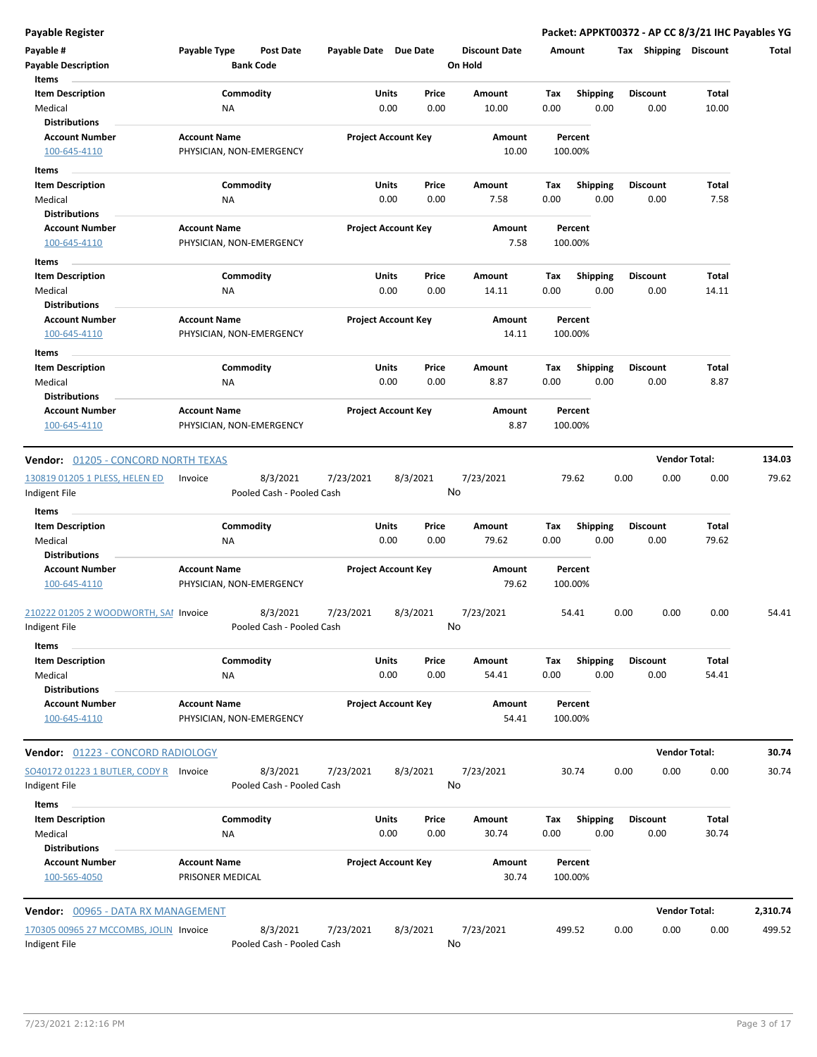| Payable #<br><b>Payable Description</b><br>Items                    | Payable Type                                    | <b>Post Date</b><br><b>Bank Code</b>  | Payable Date Due Date |                            |               | <b>Discount Date</b><br>On Hold | Amount      |                         | Shipping<br>Tax         | <b>Discount</b>      | Total    |
|---------------------------------------------------------------------|-------------------------------------------------|---------------------------------------|-----------------------|----------------------------|---------------|---------------------------------|-------------|-------------------------|-------------------------|----------------------|----------|
| <b>Item Description</b><br>Medical<br><b>Distributions</b>          | Commodity<br>ΝA                                 |                                       |                       | Units<br>0.00              | Price<br>0.00 | Amount<br>10.00                 | Tax<br>0.00 | <b>Shipping</b><br>0.00 | <b>Discount</b><br>0.00 | Total<br>10.00       |          |
| <b>Account Number</b><br>100-645-4110                               | <b>Account Name</b><br>PHYSICIAN, NON-EMERGENCY |                                       |                       | <b>Project Account Key</b> |               | Amount<br>10.00                 | 100.00%     | Percent                 |                         |                      |          |
| Items<br><b>Item Description</b>                                    | Commodity                                       |                                       |                       | Units                      | Price         | Amount                          | Tax         | <b>Shipping</b>         | <b>Discount</b>         | Total                |          |
| Medical<br><b>Distributions</b>                                     | ΝA                                              |                                       |                       | 0.00                       | 0.00          | 7.58                            | 0.00        | 0.00                    | 0.00                    | 7.58                 |          |
| <b>Account Number</b><br>100-645-4110                               | <b>Account Name</b><br>PHYSICIAN, NON-EMERGENCY |                                       |                       | <b>Project Account Key</b> |               | Amount<br>7.58                  | 100.00%     | Percent                 |                         |                      |          |
| Items<br><b>Item Description</b><br>Medical                         | Commodity<br>ΝA                                 |                                       |                       | Units<br>0.00              | Price<br>0.00 | Amount<br>14.11                 | Tax<br>0.00 | <b>Shipping</b><br>0.00 | <b>Discount</b><br>0.00 | Total<br>14.11       |          |
| <b>Distributions</b>                                                |                                                 |                                       |                       |                            |               |                                 |             |                         |                         |                      |          |
| <b>Account Number</b><br>100-645-4110                               | <b>Account Name</b><br>PHYSICIAN, NON-EMERGENCY |                                       |                       | <b>Project Account Key</b> |               | Amount<br>14.11                 | 100.00%     | Percent                 |                         |                      |          |
| Items<br><b>Item Description</b><br>Medical                         | Commodity<br>ΝA                                 |                                       |                       | Units<br>0.00              | Price<br>0.00 | Amount<br>8.87                  | Tax<br>0.00 | <b>Shipping</b><br>0.00 | <b>Discount</b><br>0.00 | <b>Total</b><br>8.87 |          |
| <b>Distributions</b><br><b>Account Number</b><br>100-645-4110       | <b>Account Name</b><br>PHYSICIAN, NON-EMERGENCY |                                       |                       | <b>Project Account Key</b> |               | Amount<br>8.87                  | 100.00%     | Percent                 |                         |                      |          |
| <b>Vendor:</b> 01205 - CONCORD NORTH TEXAS                          |                                                 |                                       |                       |                            |               |                                 |             |                         |                         | <b>Vendor Total:</b> | 134.03   |
| 130819 01205 1 PLESS, HELEN ED<br>Indigent File                     | Invoice                                         | 8/3/2021<br>Pooled Cash - Pooled Cash | 7/23/2021             | 8/3/2021                   |               | 7/23/2021<br>No                 |             | 79.62                   | 0.00<br>0.00            | 0.00                 | 79.62    |
| Items<br><b>Item Description</b><br>Medical                         | Commodity<br>ΝA                                 |                                       |                       | Units<br>0.00              | Price<br>0.00 | Amount<br>79.62                 | Tax<br>0.00 | <b>Shipping</b><br>0.00 | <b>Discount</b><br>0.00 | Total<br>79.62       |          |
| <b>Distributions</b><br><b>Account Number</b><br>100-645-4110       | <b>Account Name</b><br>PHYSICIAN, NON-EMERGENCY |                                       |                       | <b>Project Account Key</b> |               | Amount<br>79.62                 | 100.00%     | Percent                 |                         |                      |          |
| 210222 01205 2 WOODWORTH, SAI Invoice<br>Indigent File              |                                                 | 8/3/2021<br>Pooled Cash - Pooled Cash | 7/23/2021             | 8/3/2021                   |               | 7/23/2021<br>No                 |             | 54.41                   | 0.00<br>0.00            | 0.00                 | 54.41    |
| Items<br><b>Item Description</b><br>Medical<br><b>Distributions</b> | Commodity<br><b>NA</b>                          |                                       |                       | Units<br>0.00              | Price<br>0.00 | Amount<br>54.41                 | Tax<br>0.00 | <b>Shipping</b><br>0.00 | <b>Discount</b><br>0.00 | Total<br>54.41       |          |
| <b>Account Number</b><br>100-645-4110                               | <b>Account Name</b><br>PHYSICIAN, NON-EMERGENCY |                                       |                       | <b>Project Account Key</b> |               | Amount<br>54.41                 | 100.00%     | Percent                 |                         |                      |          |
| Vendor: 01223 - CONCORD RADIOLOGY                                   |                                                 |                                       |                       |                            |               |                                 |             |                         |                         | <b>Vendor Total:</b> | 30.74    |
| SO40172 01223 1 BUTLER, CODY R  Invoice<br>Indigent File            |                                                 | 8/3/2021<br>Pooled Cash - Pooled Cash | 7/23/2021             | 8/3/2021                   |               | 7/23/2021<br>No                 |             | 30.74                   | 0.00<br>0.00            | 0.00                 | 30.74    |
| Items<br><b>Item Description</b><br>Medical<br><b>Distributions</b> | Commodity<br>ΝA                                 |                                       |                       | Units<br>0.00              | Price<br>0.00 | Amount<br>30.74                 | Tax<br>0.00 | <b>Shipping</b><br>0.00 | <b>Discount</b><br>0.00 | Total<br>30.74       |          |
| <b>Account Number</b><br>100-565-4050                               | <b>Account Name</b><br>PRISONER MEDICAL         |                                       |                       | <b>Project Account Key</b> |               | Amount<br>30.74                 | 100.00%     | Percent                 |                         |                      |          |
| Vendor: 00965 - DATA RX MANAGEMENT                                  |                                                 |                                       |                       |                            |               |                                 |             |                         |                         | <b>Vendor Total:</b> | 2,310.74 |
| 170305 00965 27 MCCOMBS, JOLIN Invoice<br>Indigent File             |                                                 | 8/3/2021<br>Pooled Cash - Pooled Cash | 7/23/2021             | 8/3/2021                   |               | 7/23/2021<br>No                 | 499.52      |                         | 0.00<br>0.00            | 0.00                 | 499.52   |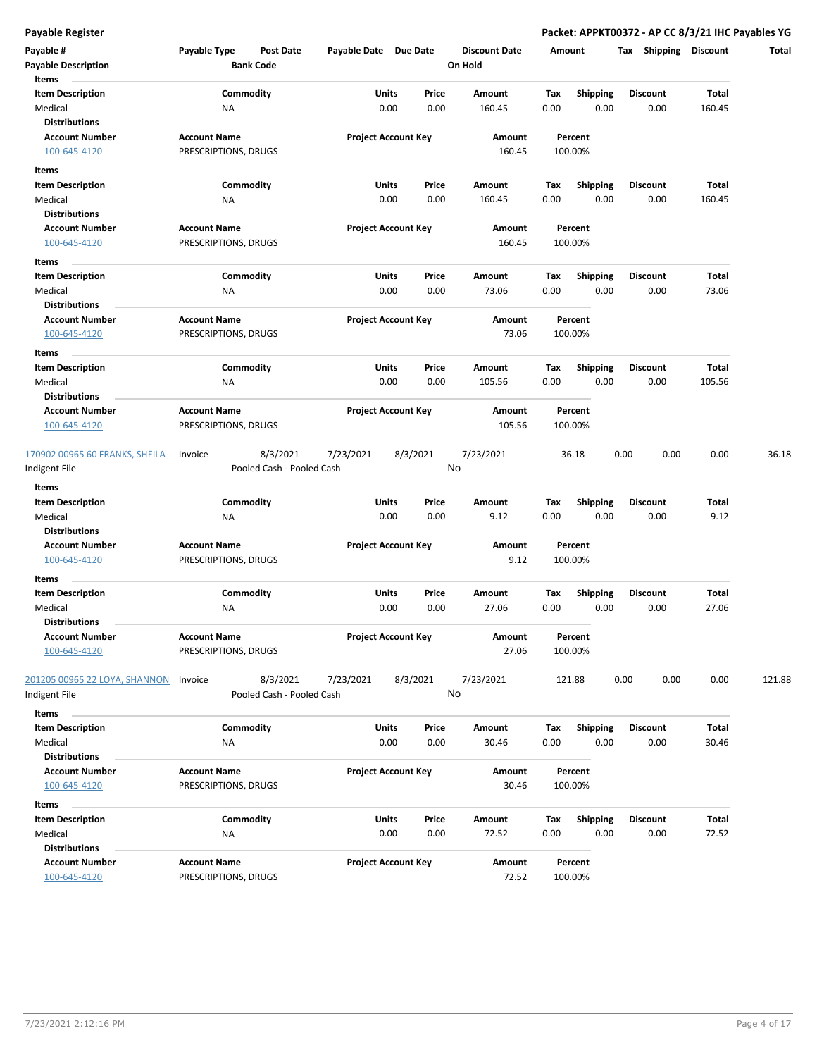| Payable #                             | Payable Type                                | <b>Post Date</b>          | Payable Date Due Date |                            | <b>Discount Date</b> |      | Amount                  | <b>Shipping</b><br>Tax | <b>Discount</b> | Total  |
|---------------------------------------|---------------------------------------------|---------------------------|-----------------------|----------------------------|----------------------|------|-------------------------|------------------------|-----------------|--------|
| <b>Payable Description</b>            |                                             | <b>Bank Code</b>          |                       |                            | On Hold              |      |                         |                        |                 |        |
| Items                                 |                                             |                           |                       |                            |                      |      |                         |                        |                 |        |
| <b>Item Description</b>               |                                             | Commodity                 | Units                 | Price                      | Amount               | Tax  | <b>Shipping</b>         | <b>Discount</b>        | Total           |        |
| Medical<br><b>Distributions</b>       | NA                                          |                           |                       | 0.00<br>0.00               | 160.45               | 0.00 | 0.00                    | 0.00                   | 160.45          |        |
| <b>Account Number</b>                 | <b>Account Name</b>                         |                           |                       | <b>Project Account Key</b> | Amount               |      | Percent                 |                        |                 |        |
| 100-645-4120                          | PRESCRIPTIONS, DRUGS                        |                           |                       |                            | 160.45               |      | 100.00%                 |                        |                 |        |
|                                       |                                             |                           |                       |                            |                      |      |                         |                        |                 |        |
| Items<br><b>Item Description</b>      |                                             | Commodity                 | Units                 | Price                      | Amount               | Tax  |                         | Discount               | Total           |        |
| Medical                               | ΝA                                          |                           |                       | 0.00<br>0.00               | 160.45               | 0.00 | <b>Shipping</b><br>0.00 | 0.00                   | 160.45          |        |
| Distributions                         |                                             |                           |                       |                            |                      |      |                         |                        |                 |        |
| <b>Account Number</b>                 | <b>Account Name</b>                         |                           |                       | <b>Project Account Key</b> | Amount               |      | Percent                 |                        |                 |        |
| 100-645-4120                          | PRESCRIPTIONS, DRUGS                        |                           |                       |                            | 160.45               |      | 100.00%                 |                        |                 |        |
| Items                                 |                                             |                           |                       |                            |                      |      |                         |                        |                 |        |
| <b>Item Description</b>               |                                             | Commodity                 | Units                 | Price                      | Amount               | Tax  | <b>Shipping</b>         | <b>Discount</b>        | Total           |        |
| Medical                               | NA                                          |                           |                       | 0.00<br>0.00               | 73.06                | 0.00 | 0.00                    | 0.00                   | 73.06           |        |
| <b>Distributions</b>                  |                                             |                           |                       |                            |                      |      |                         |                        |                 |        |
| <b>Account Number</b>                 | <b>Account Name</b>                         |                           |                       | <b>Project Account Key</b> | Amount               |      | Percent                 |                        |                 |        |
| 100-645-4120                          | PRESCRIPTIONS, DRUGS                        |                           |                       |                            | 73.06                |      | 100.00%                 |                        |                 |        |
| Items                                 |                                             |                           |                       |                            |                      |      |                         |                        |                 |        |
| <b>Item Description</b>               |                                             | Commodity                 | Units                 | Price                      | Amount               | Tax  | <b>Shipping</b>         | <b>Discount</b>        | Total           |        |
| Medical                               | ΝA                                          |                           |                       | 0.00<br>0.00               | 105.56               | 0.00 | 0.00                    | 0.00                   | 105.56          |        |
| <b>Distributions</b>                  |                                             |                           |                       |                            |                      |      |                         |                        |                 |        |
| <b>Account Number</b>                 | <b>Account Name</b>                         |                           |                       | <b>Project Account Key</b> | Amount               |      | Percent                 |                        |                 |        |
| 100-645-4120                          | PRESCRIPTIONS, DRUGS                        |                           |                       |                            | 105.56               |      | 100.00%                 |                        |                 |        |
| 170902 00965 60 FRANKS, SHEILA        | Invoice                                     | 8/3/2021                  | 7/23/2021             | 8/3/2021                   | 7/23/2021            |      | 36.18                   | 0.00<br>0.00           | 0.00            | 36.18  |
| Indigent File                         |                                             | Pooled Cash - Pooled Cash |                       |                            | No                   |      |                         |                        |                 |        |
| Items                                 |                                             |                           |                       |                            |                      |      |                         |                        |                 |        |
| <b>Item Description</b>               |                                             | Commodity                 | Units                 | Price                      | Amount               | Tax  | <b>Shipping</b>         | <b>Discount</b>        | Total           |        |
| Medical                               | NA                                          |                           |                       | 0.00<br>0.00               | 9.12                 | 0.00 | 0.00                    | 0.00                   | 9.12            |        |
| <b>Distributions</b>                  |                                             |                           |                       |                            |                      |      |                         |                        |                 |        |
| <b>Account Number</b>                 | <b>Account Name</b>                         |                           |                       | <b>Project Account Key</b> | Amount               |      | Percent                 |                        |                 |        |
| 100-645-4120                          | PRESCRIPTIONS, DRUGS                        |                           |                       |                            | 9.12                 |      | 100.00%                 |                        |                 |        |
| Items                                 |                                             |                           |                       |                            |                      |      |                         |                        |                 |        |
| <b>Item Description</b>               |                                             | Commodity                 | Units                 | Price                      | Amount               | Tax  | <b>Shipping</b>         | Discount               | Total           |        |
| Medical                               | ΝA                                          |                           |                       | 0.00<br>0.00               | 27.06                | 0.00 | 0.00                    | 0.00                   | 27.06           |        |
| <b>Distributions</b>                  |                                             |                           |                       |                            |                      |      |                         |                        |                 |        |
| <b>Account Number</b><br>100-645-4120 | <b>Account Name</b><br>PRESCRIPTIONS, DRUGS |                           |                       | <b>Project Account Key</b> | Amount<br>27.06      |      | Percent<br>100.00%      |                        |                 |        |
|                                       |                                             |                           |                       |                            |                      |      |                         |                        |                 |        |
| 201205 00965 22 LOYA, SHANNON         | Invoice                                     | 8/3/2021                  | 7/23/2021             | 8/3/2021                   | 7/23/2021            |      | 121.88                  | 0.00<br>0.00           | 0.00            | 121.88 |
| Indigent File                         |                                             | Pooled Cash - Pooled Cash |                       |                            | No                   |      |                         |                        |                 |        |
| Items                                 |                                             |                           |                       |                            |                      |      |                         |                        |                 |        |
| <b>Item Description</b>               |                                             | Commodity                 | Units                 | Price                      | Amount               | Tax  | Shipping                | <b>Discount</b>        | Total           |        |
| Medical                               | ΝA                                          |                           |                       | 0.00<br>0.00               | 30.46                | 0.00 | 0.00                    | 0.00                   | 30.46           |        |
| <b>Distributions</b>                  |                                             |                           |                       |                            |                      |      |                         |                        |                 |        |
| <b>Account Number</b>                 | <b>Account Name</b>                         |                           |                       | <b>Project Account Key</b> | Amount               |      | Percent                 |                        |                 |        |
| 100-645-4120                          | PRESCRIPTIONS, DRUGS                        |                           |                       |                            | 30.46                |      | 100.00%                 |                        |                 |        |
| Items                                 |                                             |                           |                       |                            |                      |      |                         |                        |                 |        |
| <b>Item Description</b>               |                                             | Commodity                 | Units                 | Price                      | Amount               | Tax  | <b>Shipping</b>         | <b>Discount</b>        | Total           |        |
| Medical                               | NA                                          |                           |                       | 0.00<br>0.00               | 72.52                | 0.00 | 0.00                    | 0.00                   | 72.52           |        |
| <b>Distributions</b>                  |                                             |                           |                       |                            |                      |      |                         |                        |                 |        |
| <b>Account Number</b>                 | <b>Account Name</b>                         |                           |                       | <b>Project Account Key</b> | Amount               |      | Percent                 |                        |                 |        |
| 100-645-4120                          | PRESCRIPTIONS, DRUGS                        |                           |                       |                            | 72.52                |      | 100.00%                 |                        |                 |        |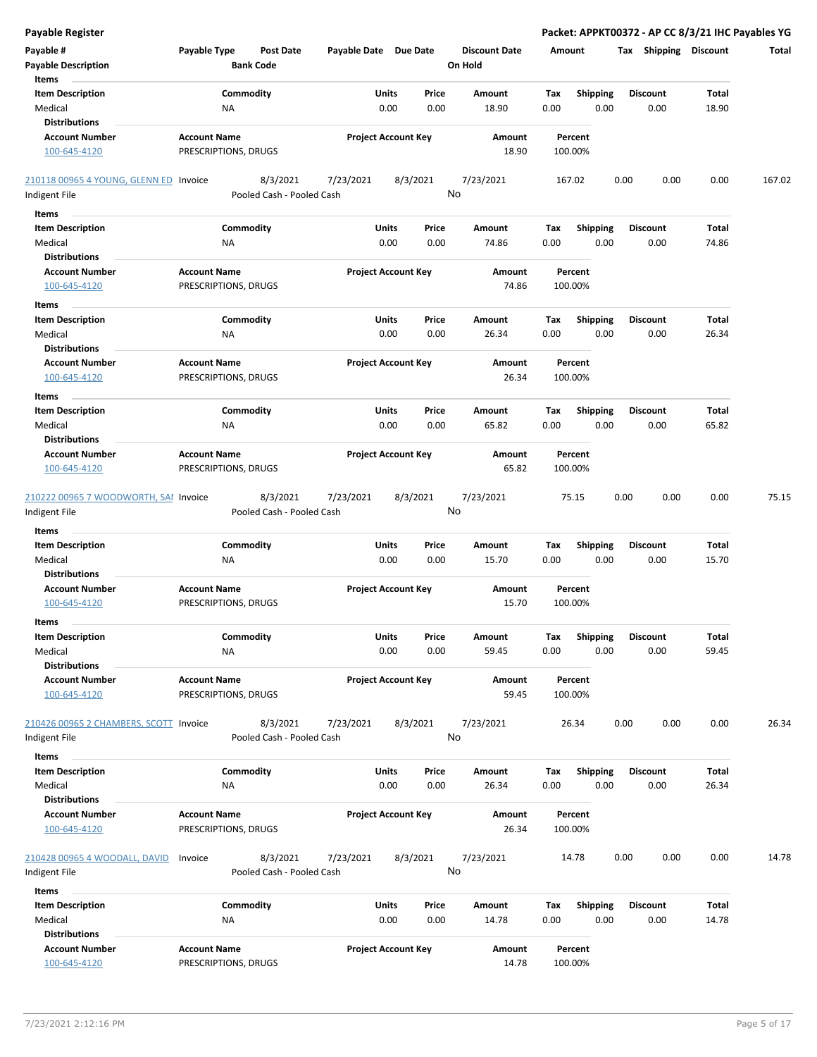| <b>Payable Register</b>                                 |                                             |                                                    |                            |               |                                 |             |                         |      |                              |                | Packet: APPKT00372 - AP CC 8/3/21 IHC Payables YG |
|---------------------------------------------------------|---------------------------------------------|----------------------------------------------------|----------------------------|---------------|---------------------------------|-------------|-------------------------|------|------------------------------|----------------|---------------------------------------------------|
| Payable #<br><b>Payable Description</b>                 | Payable Type<br><b>Bank Code</b>            | <b>Post Date</b>                                   | Payable Date Due Date      |               | <b>Discount Date</b><br>On Hold | Amount      |                         |      | <b>Tax Shipping Discount</b> |                | Total                                             |
| Items<br><b>Item Description</b><br>Medical             | Commodity<br>NA                             |                                                    | Units<br>0.00              | Price<br>0.00 | Amount<br>18.90                 | Tax<br>0.00 | <b>Shipping</b><br>0.00 |      | <b>Discount</b><br>0.00      | Total<br>18.90 |                                                   |
| <b>Distributions</b>                                    |                                             |                                                    |                            |               |                                 |             |                         |      |                              |                |                                                   |
| <b>Account Number</b><br>100-645-4120                   | <b>Account Name</b><br>PRESCRIPTIONS, DRUGS |                                                    | <b>Project Account Key</b> |               | Amount<br>18.90                 | 100.00%     | Percent                 |      |                              |                |                                                   |
| 210118 00965 4 YOUNG, GLENN ED Invoice                  |                                             | 8/3/2021<br>7/23/2021                              | 8/3/2021                   |               | 7/23/2021                       | 167.02      |                         | 0.00 | 0.00                         | 0.00           | 167.02                                            |
| Indigent File                                           |                                             | Pooled Cash - Pooled Cash                          |                            | No            |                                 |             |                         |      |                              |                |                                                   |
| Items                                                   |                                             |                                                    |                            |               |                                 |             |                         |      |                              |                |                                                   |
| <b>Item Description</b>                                 | Commodity                                   |                                                    | Units                      | Price         | Amount                          | Tax         | <b>Shipping</b>         |      | Discount                     | Total          |                                                   |
| Medical<br><b>Distributions</b>                         | ΝA                                          |                                                    | 0.00                       | 0.00          | 74.86                           | 0.00        | 0.00                    |      | 0.00                         | 74.86          |                                                   |
| <b>Account Number</b>                                   | <b>Account Name</b>                         |                                                    | <b>Project Account Key</b> |               | Amount                          |             | Percent                 |      |                              |                |                                                   |
| 100-645-4120                                            | PRESCRIPTIONS, DRUGS                        |                                                    |                            |               | 74.86                           | 100.00%     |                         |      |                              |                |                                                   |
| Items                                                   |                                             |                                                    |                            |               |                                 |             |                         |      |                              |                |                                                   |
| <b>Item Description</b>                                 | Commodity                                   |                                                    | Units                      | Price         | Amount                          | Tax         | <b>Shipping</b>         |      | <b>Discount</b>              | Total          |                                                   |
| Medical<br><b>Distributions</b>                         | ΝA                                          |                                                    | 0.00                       | 0.00          | 26.34                           | 0.00        | 0.00                    |      | 0.00                         | 26.34          |                                                   |
| <b>Account Number</b>                                   | <b>Account Name</b>                         |                                                    | <b>Project Account Key</b> |               | Amount                          |             | Percent                 |      |                              |                |                                                   |
| 100-645-4120                                            | PRESCRIPTIONS, DRUGS                        |                                                    |                            |               | 26.34                           | 100.00%     |                         |      |                              |                |                                                   |
| Items                                                   |                                             |                                                    |                            |               |                                 |             |                         |      |                              |                |                                                   |
| <b>Item Description</b>                                 | Commodity                                   |                                                    | Units                      | Price         | Amount                          | Tax         | <b>Shipping</b>         |      | <b>Discount</b>              | Total          |                                                   |
| Medical                                                 | NA                                          |                                                    | 0.00                       | 0.00          | 65.82                           | 0.00        | 0.00                    |      | 0.00                         | 65.82          |                                                   |
| <b>Distributions</b>                                    |                                             |                                                    |                            |               |                                 |             |                         |      |                              |                |                                                   |
| <b>Account Number</b><br>100-645-4120                   | <b>Account Name</b><br>PRESCRIPTIONS, DRUGS |                                                    | <b>Project Account Key</b> |               | Amount<br>65.82                 | 100.00%     | Percent                 |      |                              |                |                                                   |
| 210222 00965 7 WOODWORTH, SAI Invoice                   |                                             | 8/3/2021<br>7/23/2021                              | 8/3/2021                   |               | 7/23/2021                       |             | 75.15                   | 0.00 | 0.00                         | 0.00           | 75.15                                             |
| Indigent File                                           |                                             | Pooled Cash - Pooled Cash                          |                            | No            |                                 |             |                         |      |                              |                |                                                   |
| Items                                                   |                                             |                                                    |                            |               |                                 |             |                         |      |                              |                |                                                   |
| <b>Item Description</b>                                 | Commodity                                   |                                                    | Units                      | Price         | Amount                          | Tax         | <b>Shipping</b>         |      | Discount                     | Total          |                                                   |
| Medical<br><b>Distributions</b>                         | NA                                          |                                                    | 0.00                       | 0.00          | 15.70                           | 0.00        | 0.00                    |      | 0.00                         | 15.70          |                                                   |
| <b>Account Number</b>                                   | <b>Account Name</b>                         |                                                    | <b>Project Account Key</b> |               | Amount                          |             | Percent                 |      |                              |                |                                                   |
| 100-645-4120                                            | PRESCRIPTIONS, DRUGS                        |                                                    |                            |               | 15.70                           | 100.00%     |                         |      |                              |                |                                                   |
| ltems                                                   |                                             |                                                    |                            |               |                                 |             |                         |      |                              |                |                                                   |
| <b>Item Description</b>                                 | Commodity                                   |                                                    | Units                      | Price         | Amount                          | Tax         | Shipping                |      | <b>Discount</b>              | Total          |                                                   |
| Medical<br><b>Distributions</b>                         | NA                                          |                                                    | 0.00                       | 0.00          | 59.45                           | 0.00        | 0.00                    |      | 0.00                         | 59.45          |                                                   |
| <b>Account Number</b><br>100-645-4120                   | <b>Account Name</b><br>PRESCRIPTIONS, DRUGS |                                                    | <b>Project Account Key</b> |               | Amount<br>59.45                 | 100.00%     | Percent                 |      |                              |                |                                                   |
| 210426 00965 2 CHAMBERS, SCOTT Invoice<br>Indigent File |                                             | 8/3/2021<br>7/23/2021<br>Pooled Cash - Pooled Cash | 8/3/2021                   | No            | 7/23/2021                       |             | 26.34                   | 0.00 | 0.00                         | 0.00           | 26.34                                             |
| Items                                                   |                                             |                                                    |                            |               |                                 |             |                         |      |                              |                |                                                   |
| <b>Item Description</b>                                 | Commodity                                   |                                                    | Units                      | Price         | Amount                          | Tax         | <b>Shipping</b>         |      | Discount                     | Total          |                                                   |
| Medical<br><b>Distributions</b>                         | NA                                          |                                                    | 0.00                       | 0.00          | 26.34                           | 0.00        | 0.00                    |      | 0.00                         | 26.34          |                                                   |
| <b>Account Number</b>                                   | <b>Account Name</b>                         |                                                    | <b>Project Account Key</b> |               | Amount                          |             | Percent                 |      |                              |                |                                                   |
| 100-645-4120                                            | PRESCRIPTIONS, DRUGS                        |                                                    |                            |               | 26.34                           | 100.00%     |                         |      |                              |                |                                                   |
| 210428 00965 4 WOODALL, DAVID                           | Invoice                                     | 8/3/2021<br>7/23/2021                              | 8/3/2021                   |               | 7/23/2021                       | 14.78       |                         | 0.00 | 0.00                         | 0.00           | 14.78                                             |
| Indigent File                                           |                                             | Pooled Cash - Pooled Cash                          |                            | No            |                                 |             |                         |      |                              |                |                                                   |
| Items                                                   |                                             |                                                    |                            |               |                                 |             |                         |      |                              |                |                                                   |
| <b>Item Description</b>                                 | Commodity                                   |                                                    | Units                      | Price         | Amount                          | Tax         | <b>Shipping</b>         |      | <b>Discount</b>              | Total          |                                                   |
| Medical<br><b>Distributions</b>                         | NA                                          |                                                    | 0.00                       | 0.00          | 14.78                           | 0.00        | 0.00                    |      | 0.00                         | 14.78          |                                                   |
| <b>Account Number</b>                                   | <b>Account Name</b>                         |                                                    | <b>Project Account Key</b> |               | Amount                          |             | Percent                 |      |                              |                |                                                   |
| 100-645-4120                                            | PRESCRIPTIONS, DRUGS                        |                                                    |                            |               | 14.78                           | 100.00%     |                         |      |                              |                |                                                   |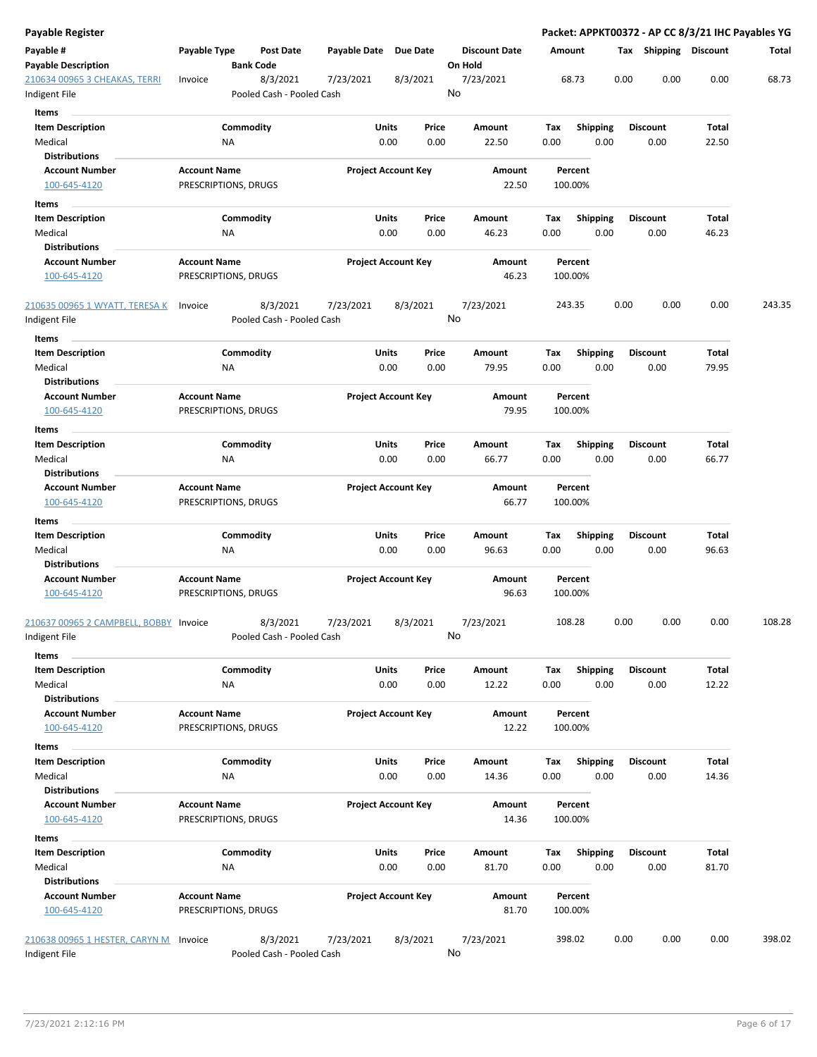| Payable Register                                        |                                             |                                       |               |                            |                                 |                    |                         |      |                         |                | Packet: APPKT00372 - AP CC 8/3/21 IHC Payables YG |
|---------------------------------------------------------|---------------------------------------------|---------------------------------------|---------------|----------------------------|---------------------------------|--------------------|-------------------------|------|-------------------------|----------------|---------------------------------------------------|
| Payable #<br><b>Payable Description</b>                 | Payable Type                                | Post Date<br><b>Bank Code</b>         | Payable Date  | Due Date                   | <b>Discount Date</b><br>On Hold | Amount             |                         |      | Tax Shipping Discount   |                | Total                                             |
| 210634 00965 3 CHEAKAS, TERRI<br>Indigent File          | Invoice                                     | 8/3/2021<br>Pooled Cash - Pooled Cash | 7/23/2021     | 8/3/2021                   | 7/23/2021<br>No                 | 68.73              |                         | 0.00 | 0.00                    | 0.00           | 68.73                                             |
| Items                                                   |                                             |                                       |               |                            |                                 |                    |                         |      |                         |                |                                                   |
| <b>Item Description</b><br>Medical                      | ΝA                                          | Commodity                             | Units<br>0.00 | Price<br>0.00              | Amount<br>22.50                 | Tax<br>0.00        | <b>Shipping</b><br>0.00 |      | <b>Discount</b><br>0.00 | Total<br>22.50 |                                                   |
| <b>Distributions</b>                                    |                                             |                                       |               |                            |                                 |                    |                         |      |                         |                |                                                   |
| <b>Account Number</b><br>100-645-4120                   | <b>Account Name</b><br>PRESCRIPTIONS, DRUGS |                                       |               | <b>Project Account Key</b> | Amount<br>22.50                 | Percent<br>100.00% |                         |      |                         |                |                                                   |
| Items                                                   |                                             |                                       |               |                            |                                 |                    |                         |      |                         |                |                                                   |
| <b>Item Description</b>                                 |                                             | Commodity                             | Units         | Price                      | Amount                          | Tax                | <b>Shipping</b>         |      | <b>Discount</b>         | Total          |                                                   |
| Medical                                                 | ΝA                                          |                                       | 0.00          | 0.00                       | 46.23                           | 0.00               | 0.00                    |      | 0.00                    | 46.23          |                                                   |
| <b>Distributions</b>                                    |                                             |                                       |               |                            |                                 |                    |                         |      |                         |                |                                                   |
| <b>Account Number</b><br>100-645-4120                   | <b>Account Name</b><br>PRESCRIPTIONS, DRUGS |                                       |               | <b>Project Account Key</b> | Amount<br>46.23                 | Percent<br>100.00% |                         |      |                         |                |                                                   |
| 210635 00965 1 WYATT, TERESA K<br>Indigent File         | Invoice                                     | 8/3/2021<br>Pooled Cash - Pooled Cash | 7/23/2021     | 8/3/2021                   | 7/23/2021<br>No                 | 243.35             |                         | 0.00 | 0.00                    | 0.00           | 243.35                                            |
| Items                                                   |                                             |                                       |               |                            |                                 |                    |                         |      |                         |                |                                                   |
| <b>Item Description</b>                                 |                                             | Commodity                             | Units         | Price                      | Amount                          | Tax                | <b>Shipping</b>         |      | <b>Discount</b>         | Total          |                                                   |
| Medical<br><b>Distributions</b>                         | ΝA                                          |                                       | 0.00          | 0.00                       | 79.95                           | 0.00               | 0.00                    |      | 0.00                    | 79.95          |                                                   |
| <b>Account Number</b><br>100-645-4120                   | <b>Account Name</b><br>PRESCRIPTIONS, DRUGS |                                       |               | <b>Project Account Key</b> | Amount<br>79.95                 | Percent<br>100.00% |                         |      |                         |                |                                                   |
| Items                                                   |                                             |                                       |               |                            |                                 |                    |                         |      |                         |                |                                                   |
| <b>Item Description</b><br>Medical                      | ΝA                                          | Commodity                             | Units<br>0.00 | Price<br>0.00              | Amount<br>66.77                 | Tax<br>0.00        | <b>Shipping</b><br>0.00 |      | <b>Discount</b><br>0.00 | Total<br>66.77 |                                                   |
| <b>Distributions</b>                                    |                                             |                                       |               |                            |                                 |                    |                         |      |                         |                |                                                   |
| <b>Account Number</b><br>100-645-4120                   | <b>Account Name</b><br>PRESCRIPTIONS, DRUGS |                                       |               | <b>Project Account Key</b> | Amount<br>66.77                 | Percent<br>100.00% |                         |      |                         |                |                                                   |
| Items                                                   |                                             |                                       |               |                            |                                 |                    |                         |      |                         |                |                                                   |
| <b>Item Description</b><br>Medical                      | ΝA                                          | Commodity                             | Units<br>0.00 | Price<br>0.00              | Amount<br>96.63                 | Тах<br>0.00        | <b>Shipping</b><br>0.00 |      | <b>Discount</b><br>0.00 | Total<br>96.63 |                                                   |
| <b>Distributions</b>                                    |                                             |                                       |               |                            |                                 |                    |                         |      |                         |                |                                                   |
| <b>Account Number</b><br>100-645-4120                   | <b>Account Name</b><br>PRESCRIPTIONS, DRUGS |                                       |               | <b>Project Account Key</b> | Amount<br>96.63                 | Percent<br>100.00% |                         |      |                         |                |                                                   |
| 210637 00965 2 CAMPBELL, BOBBY Invoice<br>Indigent File |                                             | 8/3/2021<br>Pooled Cash - Pooled Cash | 7/23/2021     | 8/3/2021                   | 7/23/2021<br>No                 | 108.28             |                         | 0.00 | 0.00                    | 0.00           | 108.28                                            |
| Items                                                   |                                             |                                       |               |                            |                                 |                    |                         |      |                         |                |                                                   |
| <b>Item Description</b>                                 |                                             | Commodity                             | Units         | Price                      | Amount                          | Tax                | <b>Shipping</b>         |      | <b>Discount</b>         | Total          |                                                   |
| Medical<br><b>Distributions</b>                         | ΝA                                          |                                       | 0.00          | 0.00                       | 12.22                           | 0.00               | 0.00                    |      | 0.00                    | 12.22          |                                                   |
| <b>Account Number</b><br>100-645-4120                   | <b>Account Name</b><br>PRESCRIPTIONS, DRUGS |                                       |               | <b>Project Account Key</b> | Amount<br>12.22                 | Percent<br>100.00% |                         |      |                         |                |                                                   |
| Items                                                   |                                             |                                       |               |                            |                                 |                    |                         |      |                         |                |                                                   |
| <b>Item Description</b>                                 |                                             | Commodity                             | Units         | Price                      | Amount                          | Tax                | Shipping                |      | <b>Discount</b>         | Total          |                                                   |
| Medical<br><b>Distributions</b>                         | NA                                          |                                       | 0.00          | 0.00                       | 14.36                           | 0.00               | 0.00                    |      | 0.00                    | 14.36          |                                                   |
| <b>Account Number</b>                                   | <b>Account Name</b>                         |                                       |               | <b>Project Account Key</b> | Amount                          | Percent            |                         |      |                         |                |                                                   |
| 100-645-4120                                            | PRESCRIPTIONS, DRUGS                        |                                       |               |                            | 14.36                           | 100.00%            |                         |      |                         |                |                                                   |
| Items                                                   |                                             |                                       |               |                            |                                 |                    |                         |      |                         |                |                                                   |
| <b>Item Description</b><br>Medical                      | ΝA                                          | Commodity                             | Units<br>0.00 | Price<br>0.00              | Amount<br>81.70                 | Tax<br>0.00        | <b>Shipping</b><br>0.00 |      | <b>Discount</b><br>0.00 | Total<br>81.70 |                                                   |
| <b>Distributions</b>                                    |                                             |                                       |               |                            |                                 |                    |                         |      |                         |                |                                                   |
| <b>Account Number</b><br>100-645-4120                   | <b>Account Name</b><br>PRESCRIPTIONS, DRUGS |                                       |               | <b>Project Account Key</b> | Amount<br>81.70                 | Percent<br>100.00% |                         |      |                         |                |                                                   |
| 210638 00965 1 HESTER, CARYN M<br>Indigent File         | Invoice                                     | 8/3/2021<br>Pooled Cash - Pooled Cash | 7/23/2021     | 8/3/2021                   | 7/23/2021<br>No                 | 398.02             |                         | 0.00 | 0.00                    | 0.00           | 398.02                                            |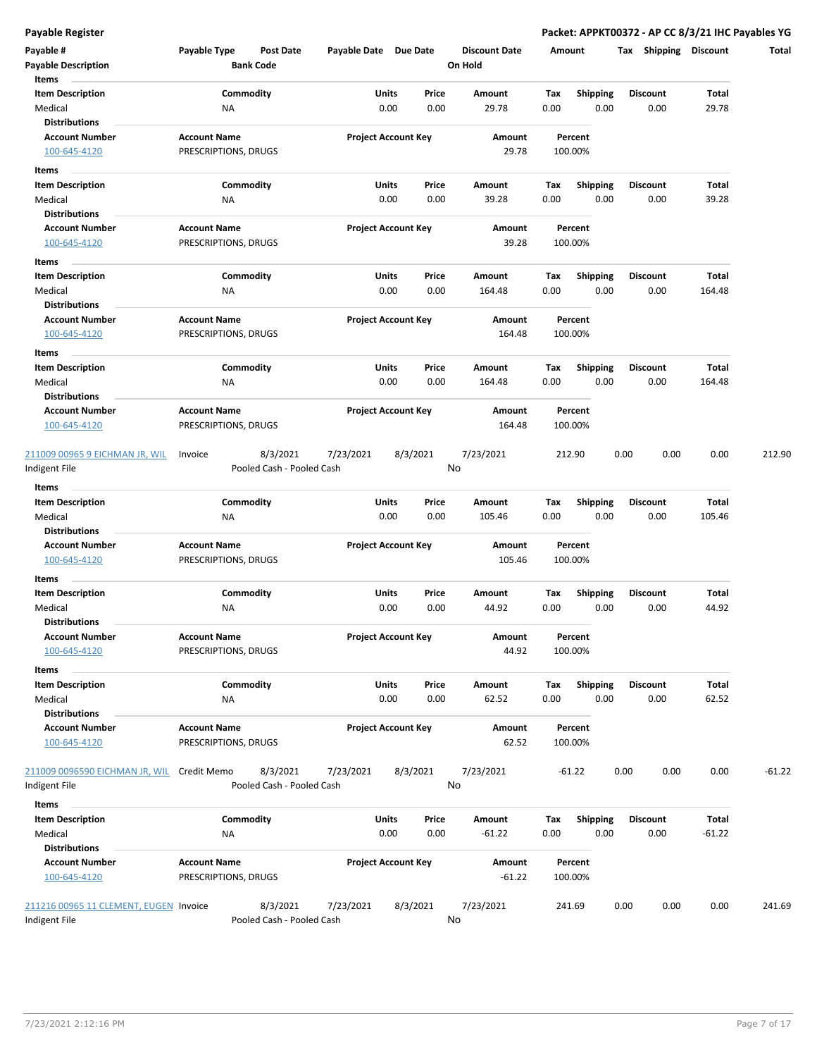| Payable #<br><b>Payable Description</b> | Payable Type                                | <b>Post Date</b><br><b>Bank Code</b>  | Payable Date Due Date |                            | <b>Discount Date</b><br>On Hold | Amount |                    | Shipping<br>Tax | <b>Discount</b> | Total    |
|-----------------------------------------|---------------------------------------------|---------------------------------------|-----------------------|----------------------------|---------------------------------|--------|--------------------|-----------------|-----------------|----------|
| Items                                   |                                             |                                       |                       |                            |                                 |        |                    |                 |                 |          |
| <b>Item Description</b>                 |                                             | Commodity                             |                       | <b>Units</b><br>Price      | Amount                          | Tax    | Shipping           | <b>Discount</b> | Total           |          |
| Medical                                 | ΝA                                          |                                       |                       | 0.00<br>0.00               | 29.78                           | 0.00   | 0.00               | 0.00            | 29.78           |          |
| <b>Distributions</b>                    |                                             |                                       |                       |                            |                                 |        |                    |                 |                 |          |
| <b>Account Number</b>                   | <b>Account Name</b>                         |                                       |                       | <b>Project Account Key</b> | Amount                          |        | Percent            |                 |                 |          |
| 100-645-4120                            | PRESCRIPTIONS, DRUGS                        |                                       |                       |                            | 29.78                           |        | 100.00%            |                 |                 |          |
| Items                                   |                                             |                                       |                       |                            |                                 |        |                    |                 |                 |          |
| <b>Item Description</b>                 |                                             | Commodity                             |                       | Units<br>Price             | Amount                          | Tax    | <b>Shipping</b>    | <b>Discount</b> | Total           |          |
| Medical                                 | <b>NA</b>                                   |                                       |                       | 0.00<br>0.00               | 39.28                           | 0.00   | 0.00               | 0.00            | 39.28           |          |
| <b>Distributions</b>                    |                                             |                                       |                       |                            |                                 |        |                    |                 |                 |          |
| <b>Account Number</b>                   | <b>Account Name</b>                         |                                       |                       | <b>Project Account Key</b> | Amount                          |        | Percent            |                 |                 |          |
| 100-645-4120                            | PRESCRIPTIONS, DRUGS                        |                                       |                       |                            | 39.28                           |        | 100.00%            |                 |                 |          |
| Items                                   |                                             |                                       |                       |                            |                                 |        |                    |                 |                 |          |
| <b>Item Description</b>                 |                                             | Commodity                             |                       | Units<br>Price             | Amount                          | Tax    | <b>Shipping</b>    | Discount        | Total           |          |
| Medical                                 | NA                                          |                                       |                       | 0.00<br>0.00               | 164.48                          | 0.00   | 0.00               | 0.00            | 164.48          |          |
| <b>Distributions</b>                    |                                             |                                       |                       |                            |                                 |        |                    |                 |                 |          |
| <b>Account Number</b>                   | <b>Account Name</b>                         |                                       |                       | <b>Project Account Key</b> | Amount                          |        | Percent            |                 |                 |          |
| 100-645-4120                            | PRESCRIPTIONS, DRUGS                        |                                       |                       |                            | 164.48                          |        | 100.00%            |                 |                 |          |
| Items                                   |                                             |                                       |                       |                            |                                 |        |                    |                 |                 |          |
| <b>Item Description</b>                 |                                             | Commodity                             |                       | Units<br>Price             | Amount                          | Tax    | <b>Shipping</b>    | <b>Discount</b> | Total           |          |
| Medical                                 | ΝA                                          |                                       |                       | 0.00<br>0.00               | 164.48                          | 0.00   | 0.00               | 0.00            | 164.48          |          |
| <b>Distributions</b>                    |                                             |                                       |                       |                            |                                 |        |                    |                 |                 |          |
| <b>Account Number</b>                   | <b>Account Name</b>                         |                                       |                       | <b>Project Account Key</b> | Amount                          |        | Percent            |                 |                 |          |
| 100-645-4120                            | PRESCRIPTIONS, DRUGS                        |                                       |                       |                            | 164.48                          |        | 100.00%            |                 |                 |          |
|                                         |                                             |                                       |                       |                            |                                 |        |                    |                 |                 |          |
| 211009 00965 9 EICHMAN JR, WIL          | Invoice                                     | 8/3/2021<br>Pooled Cash - Pooled Cash | 7/23/2021             | 8/3/2021                   | 7/23/2021<br>No                 |        | 212.90             | 0.00<br>0.00    | 0.00            | 212.90   |
| Indigent File                           |                                             |                                       |                       |                            |                                 |        |                    |                 |                 |          |
| Items                                   |                                             |                                       |                       |                            |                                 |        |                    |                 |                 |          |
| <b>Item Description</b>                 |                                             | Commodity                             |                       | Units<br>Price             | Amount                          | Tax    | Shipping           | <b>Discount</b> | Total           |          |
| Medical                                 | ΝA                                          |                                       |                       | 0.00<br>0.00               | 105.46                          | 0.00   | 0.00               | 0.00            | 105.46          |          |
| <b>Distributions</b>                    |                                             |                                       |                       |                            |                                 |        |                    |                 |                 |          |
| <b>Account Number</b><br>100-645-4120   | <b>Account Name</b><br>PRESCRIPTIONS, DRUGS |                                       |                       | <b>Project Account Key</b> | Amount<br>105.46                |        | Percent<br>100.00% |                 |                 |          |
|                                         |                                             |                                       |                       |                            |                                 |        |                    |                 |                 |          |
| Items                                   |                                             |                                       |                       |                            |                                 |        |                    |                 |                 |          |
| <b>Item Description</b>                 |                                             | Commodity                             |                       | Units<br>Price             | Amount                          | Tax    | <b>Shipping</b>    | <b>Discount</b> | Total           |          |
| Medical                                 | <b>NA</b>                                   |                                       |                       | 0.00<br>0.00               | 44.92                           | 0.00   | 0.00               | 0.00            | 44.92           |          |
| <b>Distributions</b>                    |                                             |                                       |                       |                            |                                 |        |                    |                 |                 |          |
| <b>Account Number</b>                   | <b>Account Name</b>                         |                                       |                       | <b>Project Account Key</b> | Amount                          |        | Percent            |                 |                 |          |
| 100-645-4120                            | PRESCRIPTIONS, DRUGS                        |                                       |                       |                            | 44.92                           |        | 100.00%            |                 |                 |          |
| Items                                   |                                             |                                       |                       |                            |                                 |        |                    |                 |                 |          |
| <b>Item Description</b>                 |                                             | Commodity                             |                       | Units<br>Price             | Amount                          | Tax    | Shipping           | <b>Discount</b> | Total           |          |
| Medical                                 | NA                                          |                                       |                       | 0.00<br>0.00               | 62.52                           | 0.00   | 0.00               | 0.00            | 62.52           |          |
| <b>Distributions</b>                    |                                             |                                       |                       |                            |                                 |        |                    |                 |                 |          |
| <b>Account Number</b>                   | <b>Account Name</b>                         |                                       |                       | <b>Project Account Key</b> | Amount                          |        | Percent            |                 |                 |          |
| 100-645-4120                            | PRESCRIPTIONS, DRUGS                        |                                       |                       |                            | 62.52                           |        | 100.00%            |                 |                 |          |
| 211009 0096590 EICHMAN JR, WIL          | Credit Memo                                 | 8/3/2021                              | 7/23/2021             | 8/3/2021                   | 7/23/2021                       |        | $-61.22$           | 0.00<br>0.00    | 0.00            | $-61.22$ |
| Indigent File                           |                                             | Pooled Cash - Pooled Cash             |                       |                            | No                              |        |                    |                 |                 |          |
|                                         |                                             |                                       |                       |                            |                                 |        |                    |                 |                 |          |
| Items<br><b>Item Description</b>        |                                             | Commodity                             |                       | Units<br>Price             | Amount                          | Tax    | <b>Shipping</b>    | <b>Discount</b> | Total           |          |
| Medical                                 |                                             |                                       |                       | 0.00<br>0.00               | $-61.22$                        | 0.00   | 0.00               | 0.00            | $-61.22$        |          |
| <b>Distributions</b>                    | ΝA                                          |                                       |                       |                            |                                 |        |                    |                 |                 |          |
| <b>Account Number</b>                   | <b>Account Name</b>                         |                                       |                       | <b>Project Account Key</b> | Amount                          |        | Percent            |                 |                 |          |
| 100-645-4120                            | PRESCRIPTIONS, DRUGS                        |                                       |                       |                            | $-61.22$                        |        | 100.00%            |                 |                 |          |
|                                         |                                             |                                       |                       |                            |                                 |        |                    |                 |                 |          |
| 211216 00965 11 CLEMENT, EUGEN Invoice  |                                             | 8/3/2021                              | 7/23/2021             | 8/3/2021                   | 7/23/2021                       | 241.69 |                    | 0.00<br>0.00    | 0.00            | 241.69   |
| Indigent File                           |                                             | Pooled Cash - Pooled Cash             |                       |                            | No                              |        |                    |                 |                 |          |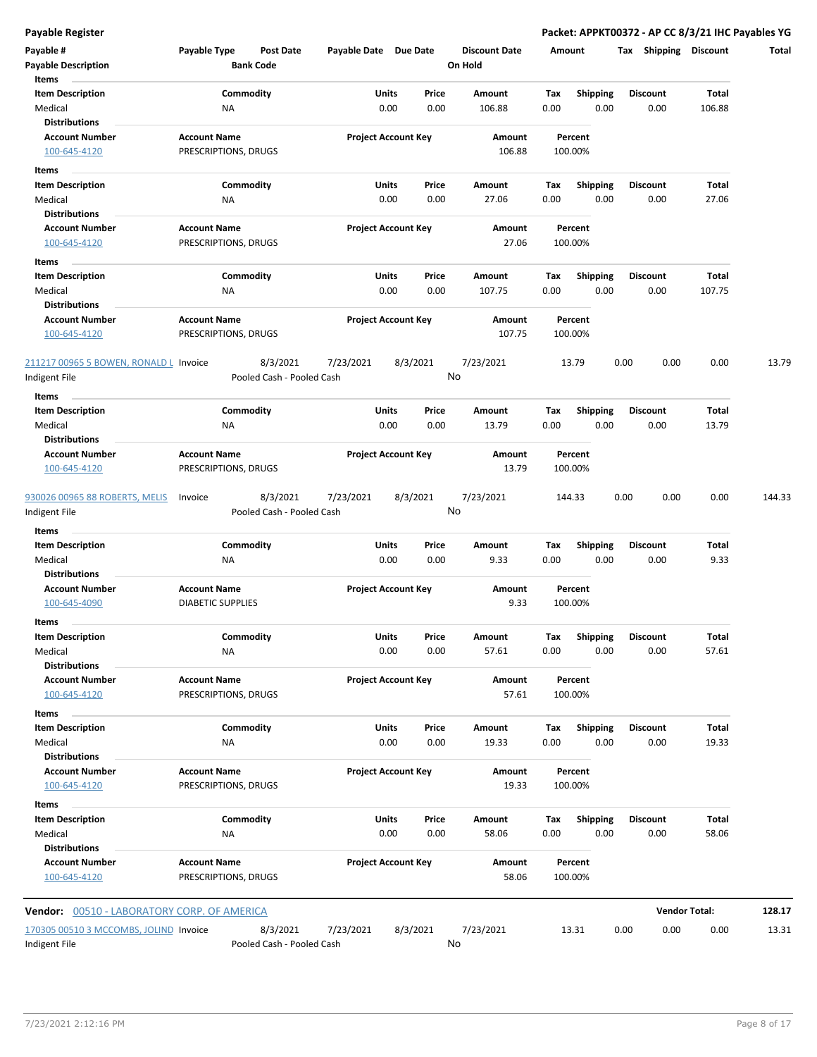| Payable #<br><b>Payable Description</b>       | Payable Type             | Post Date<br><b>Bank Code</b> | Payable Date Due Date |                            | <b>Discount Date</b><br>On Hold | Amount |                         |      | Tax Shipping            | Discount             | Total  |
|-----------------------------------------------|--------------------------|-------------------------------|-----------------------|----------------------------|---------------------------------|--------|-------------------------|------|-------------------------|----------------------|--------|
| Items<br><b>Item Description</b>              | Commodity                |                               | Units                 | Price                      | Amount                          | Tax    |                         |      | <b>Discount</b>         | Total                |        |
| Medical                                       | ΝA                       |                               |                       | 0.00<br>0.00               | 106.88                          | 0.00   | <b>Shipping</b><br>0.00 |      | 0.00                    | 106.88               |        |
| <b>Distributions</b>                          |                          |                               |                       |                            |                                 |        |                         |      |                         |                      |        |
| <b>Account Number</b>                         | <b>Account Name</b>      |                               |                       | <b>Project Account Key</b> | Amount                          |        | Percent                 |      |                         |                      |        |
| 100-645-4120                                  | PRESCRIPTIONS, DRUGS     |                               |                       |                            | 106.88                          |        | 100.00%                 |      |                         |                      |        |
| Items                                         |                          |                               |                       |                            |                                 |        |                         |      |                         |                      |        |
| <b>Item Description</b>                       | Commodity                |                               | Units                 | Price                      | Amount                          | Tax    | <b>Shipping</b>         |      | <b>Discount</b>         | Total                |        |
| Medical<br><b>Distributions</b>               | ΝA                       |                               |                       | 0.00<br>0.00               | 27.06                           | 0.00   | 0.00                    |      | 0.00                    | 27.06                |        |
| <b>Account Number</b>                         | <b>Account Name</b>      |                               |                       | <b>Project Account Key</b> | Amount                          |        | Percent                 |      |                         |                      |        |
| 100-645-4120                                  | PRESCRIPTIONS, DRUGS     |                               |                       |                            | 27.06                           |        | 100.00%                 |      |                         |                      |        |
| Items                                         |                          |                               |                       |                            |                                 |        |                         |      |                         |                      |        |
| <b>Item Description</b>                       | Commodity                |                               | Units                 | Price                      | Amount                          | Tax    | <b>Shipping</b>         |      | <b>Discount</b>         | Total                |        |
| Medical                                       | ΝA                       |                               |                       | 0.00<br>0.00               | 107.75                          | 0.00   | 0.00                    |      | 0.00                    | 107.75               |        |
| <b>Distributions</b>                          |                          |                               |                       |                            |                                 |        |                         |      |                         |                      |        |
| <b>Account Number</b>                         | <b>Account Name</b>      |                               |                       | <b>Project Account Key</b> | Amount                          |        | Percent                 |      |                         |                      |        |
| 100-645-4120                                  | PRESCRIPTIONS, DRUGS     |                               |                       |                            | 107.75                          |        | 100.00%                 |      |                         |                      |        |
| 211217 00965 5 BOWEN, RONALD L Invoice        |                          | 8/3/2021                      | 7/23/2021             | 8/3/2021                   | 7/23/2021                       |        | 13.79                   | 0.00 | 0.00                    | 0.00                 | 13.79  |
| Indigent File                                 |                          | Pooled Cash - Pooled Cash     |                       |                            | No                              |        |                         |      |                         |                      |        |
| <b>Items</b>                                  |                          |                               |                       |                            |                                 |        |                         |      |                         |                      |        |
| <b>Item Description</b>                       | Commodity                |                               | Units                 | Price                      | Amount                          | Tax    | <b>Shipping</b>         |      | <b>Discount</b>         | Total                |        |
| Medical                                       | ΝA                       |                               |                       | 0.00<br>0.00               | 13.79                           | 0.00   | 0.00                    |      | 0.00                    | 13.79                |        |
| <b>Distributions</b>                          |                          |                               |                       |                            |                                 |        |                         |      |                         |                      |        |
| <b>Account Number</b>                         | <b>Account Name</b>      |                               |                       | <b>Project Account Key</b> | Amount                          |        | Percent                 |      |                         |                      |        |
| 100-645-4120                                  | PRESCRIPTIONS, DRUGS     |                               |                       |                            | 13.79                           |        | 100.00%                 |      |                         |                      |        |
| 930026 00965 88 ROBERTS, MELIS                | Invoice                  | 8/3/2021                      | 7/23/2021             | 8/3/2021                   | 7/23/2021                       |        | 144.33                  | 0.00 | 0.00                    | 0.00                 | 144.33 |
| Indigent File                                 |                          | Pooled Cash - Pooled Cash     |                       |                            | No                              |        |                         |      |                         |                      |        |
| Items                                         |                          |                               |                       |                            |                                 |        |                         |      |                         |                      |        |
| <b>Item Description</b>                       | Commodity                |                               | Units                 | Price                      | Amount                          | Tax    | <b>Shipping</b>         |      | <b>Discount</b>         | Total                |        |
| Medical                                       | ΝA                       |                               |                       | 0.00<br>0.00               | 9.33                            | 0.00   | 0.00                    |      | 0.00                    | 9.33                 |        |
| <b>Distributions</b>                          |                          |                               |                       |                            |                                 |        |                         |      |                         |                      |        |
| <b>Account Number</b>                         | <b>Account Name</b>      |                               |                       | <b>Project Account Key</b> | <b>Amount</b>                   |        | Percent                 |      |                         |                      |        |
| 100-645-4090                                  | <b>DIABETIC SUPPLIES</b> |                               |                       |                            | 9.33                            |        | 100.00%                 |      |                         |                      |        |
| Items                                         |                          |                               |                       |                            |                                 |        |                         |      |                         |                      |        |
| Item Description<br>Medical                   | Commodity                |                               | Units                 | Price<br>0.00<br>0.00      | Amount<br>57.61                 | Tax    | Shipping                |      | <b>Discount</b><br>0.00 | Total<br>57.61       |        |
| <b>Distributions</b>                          | NA                       |                               |                       |                            |                                 | 0.00   | 0.00                    |      |                         |                      |        |
| <b>Account Number</b>                         | <b>Account Name</b>      |                               |                       | <b>Project Account Key</b> | Amount                          |        | Percent                 |      |                         |                      |        |
| 100-645-4120                                  | PRESCRIPTIONS, DRUGS     |                               |                       |                            | 57.61                           |        | 100.00%                 |      |                         |                      |        |
| Items                                         |                          |                               |                       |                            |                                 |        |                         |      |                         |                      |        |
| <b>Item Description</b>                       | Commodity                |                               | Units                 | Price                      | Amount                          | Tax    | Shipping                |      | <b>Discount</b>         | Total                |        |
| Medical                                       | NA                       |                               |                       | 0.00<br>0.00               | 19.33                           | 0.00   | 0.00                    |      | 0.00                    | 19.33                |        |
| <b>Distributions</b>                          |                          |                               |                       |                            |                                 |        |                         |      |                         |                      |        |
| <b>Account Number</b>                         | <b>Account Name</b>      |                               |                       | <b>Project Account Key</b> | Amount                          |        | Percent                 |      |                         |                      |        |
| 100-645-4120                                  | PRESCRIPTIONS, DRUGS     |                               |                       |                            | 19.33                           |        | 100.00%                 |      |                         |                      |        |
| Items                                         |                          |                               |                       |                            |                                 |        |                         |      |                         |                      |        |
| <b>Item Description</b>                       | Commodity                |                               | <b>Units</b>          | Price                      | Amount                          | Tax    | <b>Shipping</b>         |      | <b>Discount</b>         | Total                |        |
| Medical                                       | NA                       |                               |                       | 0.00<br>0.00               | 58.06                           | 0.00   | 0.00                    |      | 0.00                    | 58.06                |        |
| <b>Distributions</b><br><b>Account Number</b> | <b>Account Name</b>      |                               |                       | <b>Project Account Key</b> | Amount                          |        | Percent                 |      |                         |                      |        |
| 100-645-4120                                  | PRESCRIPTIONS, DRUGS     |                               |                       |                            | 58.06                           |        | 100.00%                 |      |                         |                      |        |
|                                               |                          |                               |                       |                            |                                 |        |                         |      |                         |                      |        |
|                                               |                          |                               |                       |                            |                                 |        |                         |      |                         |                      |        |
| Vendor: 00510 - LABORATORY CORP. OF AMERICA   |                          |                               |                       |                            |                                 |        |                         |      |                         | <b>Vendor Total:</b> | 128.17 |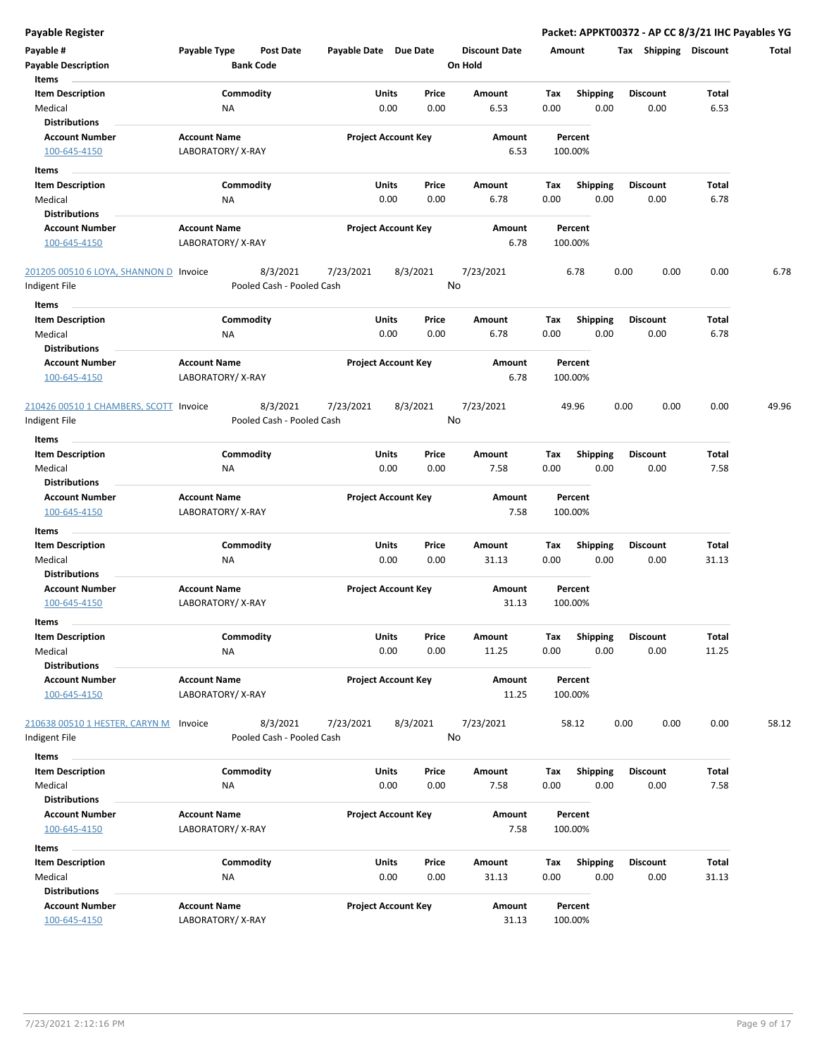| Payable #<br><b>Payable Description</b> | Payable Type        | Post Date<br><b>Bank Code</b> | Payable Date Due Date |                            | <b>Discount Date</b><br>On Hold |      | Amount          | Shipping<br>Tax | <b>Discount</b> | Total |
|-----------------------------------------|---------------------|-------------------------------|-----------------------|----------------------------|---------------------------------|------|-----------------|-----------------|-----------------|-------|
| Items<br><b>Item Description</b>        |                     | Commodity                     |                       | Units<br>Price             | Amount                          | Tax  | <b>Shipping</b> | <b>Discount</b> | Total           |       |
| Medical                                 | ΝA                  |                               |                       | 0.00<br>0.00               | 6.53                            | 0.00 | 0.00            | 0.00            | 6.53            |       |
| <b>Distributions</b>                    |                     |                               |                       |                            |                                 |      |                 |                 |                 |       |
| <b>Account Number</b>                   | <b>Account Name</b> |                               |                       | <b>Project Account Key</b> | Amount                          |      | Percent         |                 |                 |       |
| 100-645-4150                            | LABORATORY/X-RAY    |                               |                       |                            | 6.53                            |      | 100.00%         |                 |                 |       |
| Items                                   |                     |                               |                       |                            |                                 |      |                 |                 |                 |       |
| <b>Item Description</b>                 |                     | Commodity                     |                       | Units<br>Price             | Amount                          | Тах  | <b>Shipping</b> | <b>Discount</b> | Total           |       |
| Medical                                 | ΝA                  |                               |                       | 0.00<br>0.00               | 6.78                            | 0.00 | 0.00            | 0.00            | 6.78            |       |
| <b>Distributions</b>                    |                     |                               |                       |                            |                                 |      |                 |                 |                 |       |
| <b>Account Number</b>                   | <b>Account Name</b> |                               |                       | <b>Project Account Key</b> | Amount                          |      | Percent         |                 |                 |       |
| 100-645-4150                            | LABORATORY/X-RAY    |                               |                       |                            | 6.78                            |      | 100.00%         |                 |                 |       |
| 201205 00510 6 LOYA, SHANNON D Invoice  |                     | 8/3/2021                      | 7/23/2021             | 8/3/2021                   | 7/23/2021                       |      | 6.78            | 0.00<br>0.00    | 0.00            | 6.78  |
| Indigent File                           |                     | Pooled Cash - Pooled Cash     |                       |                            | No                              |      |                 |                 |                 |       |
| Items                                   |                     |                               |                       |                            |                                 |      |                 |                 |                 |       |
| <b>Item Description</b>                 |                     | Commodity                     |                       | <b>Units</b><br>Price      | Amount                          | Tax  | <b>Shipping</b> | <b>Discount</b> | Total           |       |
| Medical<br><b>Distributions</b>         | <b>NA</b>           |                               |                       | 0.00<br>0.00               | 6.78                            | 0.00 | 0.00            | 0.00            | 6.78            |       |
| <b>Account Number</b>                   | <b>Account Name</b> |                               |                       | <b>Project Account Key</b> | Amount                          |      | Percent         |                 |                 |       |
| 100-645-4150                            | LABORATORY/X-RAY    |                               |                       |                            | 6.78                            |      | 100.00%         |                 |                 |       |
| 210426 00510 1 CHAMBERS, SCOTT Invoice  |                     | 8/3/2021                      | 7/23/2021             | 8/3/2021                   | 7/23/2021                       |      | 49.96           | 0.00<br>0.00    | 0.00            | 49.96 |
| Indigent File                           |                     | Pooled Cash - Pooled Cash     |                       |                            | No                              |      |                 |                 |                 |       |
| Items                                   |                     |                               |                       |                            |                                 |      |                 |                 |                 |       |
| <b>Item Description</b>                 |                     | Commodity                     |                       | Units<br>Price             | Amount                          | Tax  | <b>Shipping</b> | <b>Discount</b> | Total           |       |
| Medical                                 | ΝA                  |                               |                       | 0.00<br>0.00               | 7.58                            | 0.00 | 0.00            | 0.00            | 7.58            |       |
| <b>Distributions</b>                    |                     |                               |                       |                            |                                 |      |                 |                 |                 |       |
| <b>Account Number</b>                   | <b>Account Name</b> |                               |                       | <b>Project Account Key</b> | Amount                          |      | Percent         |                 |                 |       |
| 100-645-4150                            | LABORATORY/X-RAY    |                               |                       |                            | 7.58                            |      | 100.00%         |                 |                 |       |
| Items                                   |                     |                               |                       |                            |                                 |      |                 |                 |                 |       |
| <b>Item Description</b>                 |                     | Commodity                     |                       | Units<br>Price             | Amount                          | Tax  | <b>Shipping</b> | Discount        | Total           |       |
| Medical                                 | ΝA                  |                               |                       | 0.00<br>0.00               | 31.13                           | 0.00 | 0.00            | 0.00            | 31.13           |       |
| <b>Distributions</b>                    |                     |                               |                       |                            |                                 |      |                 |                 |                 |       |
| <b>Account Number</b>                   | <b>Account Name</b> |                               |                       | <b>Project Account Key</b> | Amount                          |      | Percent         |                 |                 |       |
| 100-645-4150                            | LABORATORY/X-RAY    |                               |                       |                            | 31.13                           |      | 100.00%         |                 |                 |       |
| Items                                   |                     |                               |                       |                            |                                 |      |                 |                 |                 |       |
| <b>Item Description</b>                 |                     | Commodity                     |                       | Units<br>Price             | Amount                          | Tax  | Shipping        | Discount        | Total           |       |
| Medical                                 | ΝA                  |                               |                       | 0.00<br>0.00               | 11.25                           | 0.00 | 0.00            | 0.00            | 11.25           |       |
| <b>Distributions</b>                    |                     |                               |                       |                            |                                 |      |                 |                 |                 |       |
| <b>Account Number</b>                   | <b>Account Name</b> |                               |                       | <b>Project Account Key</b> | Amount                          |      | Percent         |                 |                 |       |
| 100-645-4150                            | LABORATORY/X-RAY    |                               |                       |                            | 11.25                           |      | 100.00%         |                 |                 |       |
| 210638 00510 1 HESTER, CARYN M          | Invoice             | 8/3/2021                      | 7/23/2021             | 8/3/2021                   | 7/23/2021                       |      | 58.12           | 0.00<br>0.00    | 0.00            | 58.12 |
| Indigent File                           |                     | Pooled Cash - Pooled Cash     |                       |                            | No                              |      |                 |                 |                 |       |
| Items                                   |                     |                               |                       |                            |                                 |      |                 |                 |                 |       |
| <b>Item Description</b>                 |                     | Commodity                     |                       | Units<br>Price             | Amount                          | Tax  | <b>Shipping</b> | <b>Discount</b> | Total           |       |
| Medical                                 | NA                  |                               |                       | 0.00<br>0.00               | 7.58                            | 0.00 | 0.00            | 0.00            | 7.58            |       |
| <b>Distributions</b>                    |                     |                               |                       |                            |                                 |      |                 |                 |                 |       |
| <b>Account Number</b>                   | <b>Account Name</b> |                               |                       | <b>Project Account Key</b> | Amount                          |      | Percent         |                 |                 |       |
| 100-645-4150                            | LABORATORY/X-RAY    |                               |                       |                            | 7.58                            |      | 100.00%         |                 |                 |       |
| Items                                   |                     |                               |                       |                            |                                 |      |                 |                 |                 |       |
| <b>Item Description</b>                 |                     | Commodity                     |                       | Units<br>Price             | Amount                          | Tax  | <b>Shipping</b> | <b>Discount</b> | Total           |       |
| Medical                                 | NA                  |                               |                       | 0.00<br>0.00               | 31.13                           | 0.00 | 0.00            | 0.00            | 31.13           |       |
| <b>Distributions</b>                    |                     |                               |                       |                            |                                 |      |                 |                 |                 |       |
| <b>Account Number</b>                   | <b>Account Name</b> |                               |                       | <b>Project Account Key</b> | Amount                          |      | Percent         |                 |                 |       |
| 100-645-4150                            | LABORATORY/X-RAY    |                               |                       |                            | 31.13                           |      | 100.00%         |                 |                 |       |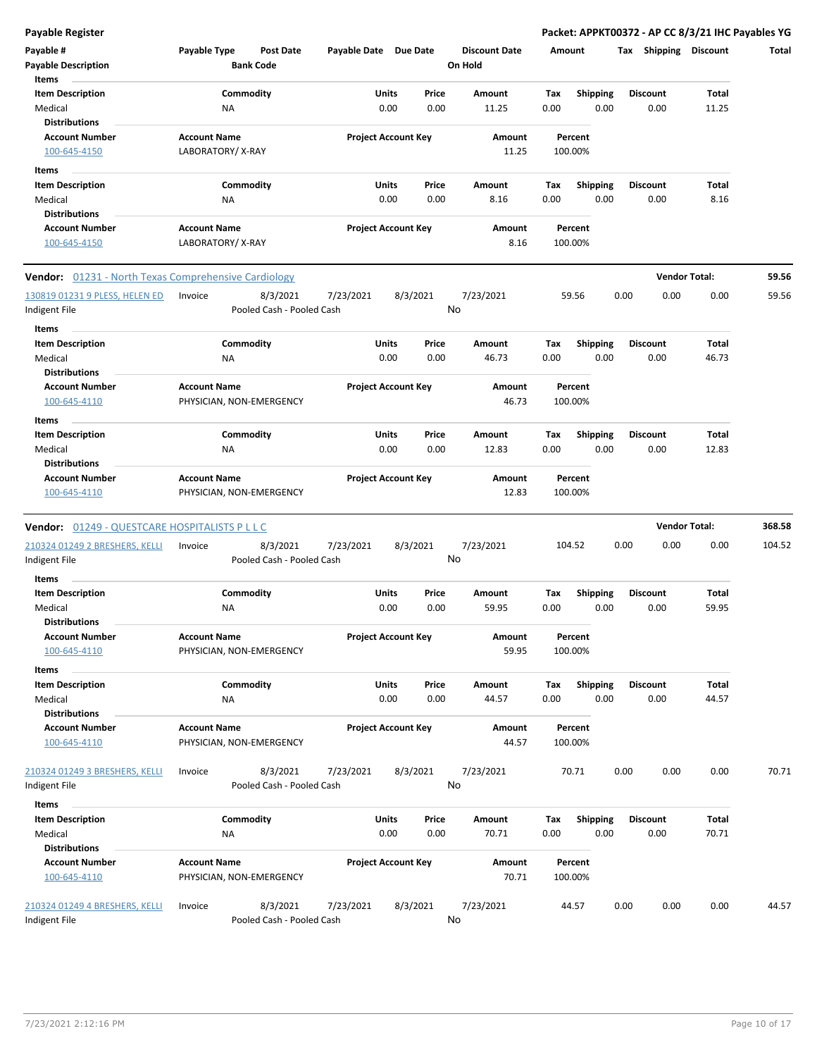| Payable #<br><b>Payable Description</b><br>Items              | Payable Type                                    | <b>Post Date</b><br><b>Bank Code</b>  | Payable Date Due Date |                            | <b>Discount Date</b><br>On Hold | Amount             |                         | Тах  | <b>Shipping</b>         | <b>Discount</b> | Total  |
|---------------------------------------------------------------|-------------------------------------------------|---------------------------------------|-----------------------|----------------------------|---------------------------------|--------------------|-------------------------|------|-------------------------|-----------------|--------|
| <b>Item Description</b><br>Medical                            | <b>NA</b>                                       | Commodity                             | Units                 | Price<br>0.00<br>0.00      | Amount<br>11.25                 | Tax<br>0.00        | <b>Shipping</b><br>0.00 |      | <b>Discount</b><br>0.00 | Total<br>11.25  |        |
| <b>Distributions</b><br><b>Account Number</b><br>100-645-4150 | <b>Account Name</b><br>LABORATORY/X-RAY         |                                       |                       | <b>Project Account Key</b> | Amount<br>11.25                 | Percent<br>100.00% |                         |      |                         |                 |        |
| Items                                                         |                                                 |                                       |                       |                            |                                 |                    |                         |      |                         |                 |        |
| <b>Item Description</b>                                       |                                                 | Commodity                             | Units                 | Price                      | Amount                          | Тах                | <b>Shipping</b>         |      | <b>Discount</b>         | Total           |        |
| Medical                                                       | ΝA                                              |                                       |                       | 0.00<br>0.00               | 8.16                            | 0.00               | 0.00                    |      | 0.00                    | 8.16            |        |
| <b>Distributions</b>                                          |                                                 |                                       |                       |                            |                                 |                    |                         |      |                         |                 |        |
| <b>Account Number</b><br>100-645-4150                         | <b>Account Name</b><br>LABORATORY/X-RAY         |                                       |                       | <b>Project Account Key</b> | Amount<br>8.16                  | Percent<br>100.00% |                         |      |                         |                 |        |
| <b>Vendor:</b> 01231 - North Texas Comprehensive Cardiology   |                                                 |                                       |                       |                            |                                 |                    |                         |      | <b>Vendor Total:</b>    |                 | 59.56  |
| 130819 01231 9 PLESS, HELEN ED                                | Invoice                                         | 8/3/2021                              | 7/23/2021             | 8/3/2021                   | 7/23/2021                       | 59.56              |                         | 0.00 | 0.00                    | 0.00            | 59.56  |
| Indigent File<br>Items                                        |                                                 | Pooled Cash - Pooled Cash             |                       |                            | No                              |                    |                         |      |                         |                 |        |
| <b>Item Description</b>                                       |                                                 | Commodity                             | Units                 | Price                      | <b>Amount</b>                   | Тах                | <b>Shipping</b>         |      | <b>Discount</b>         | Total           |        |
| Medical                                                       | ΝA                                              |                                       |                       | 0.00<br>0.00               | 46.73                           | 0.00               | 0.00                    |      | 0.00                    | 46.73           |        |
| <b>Distributions</b>                                          |                                                 |                                       |                       |                            |                                 |                    |                         |      |                         |                 |        |
| <b>Account Number</b>                                         | <b>Account Name</b>                             |                                       |                       | <b>Project Account Key</b> | Amount                          | Percent            |                         |      |                         |                 |        |
| 100-645-4110                                                  | PHYSICIAN, NON-EMERGENCY                        |                                       |                       |                            | 46.73                           | 100.00%            |                         |      |                         |                 |        |
| Items                                                         |                                                 |                                       |                       |                            |                                 |                    |                         |      |                         |                 |        |
| <b>Item Description</b>                                       |                                                 | Commodity                             | Units                 | Price                      | Amount                          | Tax                | <b>Shipping</b>         |      | <b>Discount</b>         | Total           |        |
| Medical                                                       | ΝA                                              |                                       |                       | 0.00<br>0.00               | 12.83                           | 0.00               | 0.00                    |      | 0.00                    | 12.83           |        |
| <b>Distributions</b>                                          |                                                 |                                       |                       |                            |                                 |                    |                         |      |                         |                 |        |
| <b>Account Number</b>                                         | <b>Account Name</b>                             |                                       |                       | <b>Project Account Key</b> | Amount                          | Percent            |                         |      |                         |                 |        |
| 100-645-4110                                                  | PHYSICIAN, NON-EMERGENCY                        |                                       |                       |                            | 12.83                           | 100.00%            |                         |      |                         |                 |        |
| <b>Vendor:</b> 01249 - QUESTCARE HOSPITALISTS P L L C         |                                                 |                                       |                       |                            |                                 |                    |                         |      | <b>Vendor Total:</b>    |                 | 368.58 |
| 210324 01249 2 BRESHERS, KELLI                                | Invoice                                         | 8/3/2021                              | 7/23/2021             | 8/3/2021                   | 7/23/2021                       | 104.52             |                         | 0.00 | 0.00                    | 0.00            | 104.52 |
| Indigent File                                                 |                                                 | Pooled Cash - Pooled Cash             |                       |                            | No                              |                    |                         |      |                         |                 |        |
| Items                                                         |                                                 |                                       |                       |                            |                                 |                    |                         |      |                         |                 |        |
| <b>Item Description</b>                                       |                                                 | Commodity                             | Units                 | Price                      | Amount                          | Тах                | <b>Shipping</b>         |      | <b>Discount</b>         | Total           |        |
| Medical                                                       | ΝA                                              |                                       |                       | 0.00<br>0.00               | 59.95                           | 0.00               | 0.00                    |      | 0.00                    | 59.95           |        |
| <b>Distributions</b>                                          |                                                 |                                       |                       |                            |                                 |                    |                         |      |                         |                 |        |
| <b>Account Number</b>                                         | <b>Account Name</b>                             |                                       |                       | <b>Project Account Key</b> | Amount                          | Percent            |                         |      |                         |                 |        |
| 100-645-4110                                                  | PHYSICIAN, NON-EMERGENCY                        |                                       |                       |                            | 59.95                           | 100.00%            |                         |      |                         |                 |        |
| Items                                                         |                                                 |                                       |                       |                            |                                 |                    |                         |      |                         |                 |        |
| <b>Item Description</b>                                       |                                                 | Commodity                             | Units                 | Price                      | Amount                          | Tax                | <b>Shipping</b>         |      | <b>Discount</b>         | Total           |        |
| Medical                                                       | NA                                              |                                       |                       | 0.00<br>0.00               | 44.57                           | 0.00               | 0.00                    |      | 0.00                    | 44.57           |        |
| <b>Distributions</b>                                          |                                                 |                                       |                       |                            |                                 |                    |                         |      |                         |                 |        |
| <b>Account Number</b><br>100-645-4110                         | <b>Account Name</b><br>PHYSICIAN, NON-EMERGENCY |                                       |                       | <b>Project Account Key</b> | Amount<br>44.57                 | Percent<br>100.00% |                         |      |                         |                 |        |
| 210324 01249 3 BRESHERS, KELLI                                | Invoice                                         | 8/3/2021                              | 7/23/2021             | 8/3/2021                   | 7/23/2021                       | 70.71              |                         | 0.00 | 0.00                    | 0.00            | 70.71  |
| Indigent File                                                 |                                                 | Pooled Cash - Pooled Cash             |                       |                            | No                              |                    |                         |      |                         |                 |        |
|                                                               |                                                 |                                       |                       |                            |                                 |                    |                         |      |                         |                 |        |
| Items<br><b>Item Description</b>                              |                                                 | Commodity                             | Units                 | Price                      | Amount                          | Tax                | <b>Shipping</b>         |      | <b>Discount</b>         | Total           |        |
| Medical                                                       |                                                 |                                       |                       | 0.00<br>0.00               | 70.71                           |                    | 0.00                    |      |                         | 70.71           |        |
| <b>Distributions</b>                                          | ΝA                                              |                                       |                       |                            |                                 | 0.00               |                         |      | 0.00                    |                 |        |
|                                                               |                                                 |                                       |                       |                            |                                 |                    |                         |      |                         |                 |        |
| <b>Account Number</b>                                         | <b>Account Name</b>                             |                                       |                       | <b>Project Account Key</b> | Amount                          | Percent            |                         |      |                         |                 |        |
| 100-645-4110                                                  | PHYSICIAN, NON-EMERGENCY                        |                                       |                       |                            | 70.71                           | 100.00%            |                         |      |                         |                 |        |
| 210324 01249 4 BRESHERS, KELLI                                | Invoice                                         | 8/3/2021<br>Pooled Cash - Pooled Cash | 7/23/2021             | 8/3/2021                   | 7/23/2021<br>No                 | 44.57              |                         | 0.00 | 0.00                    | 0.00            | 44.57  |
| Indigent File                                                 |                                                 |                                       |                       |                            |                                 |                    |                         |      |                         |                 |        |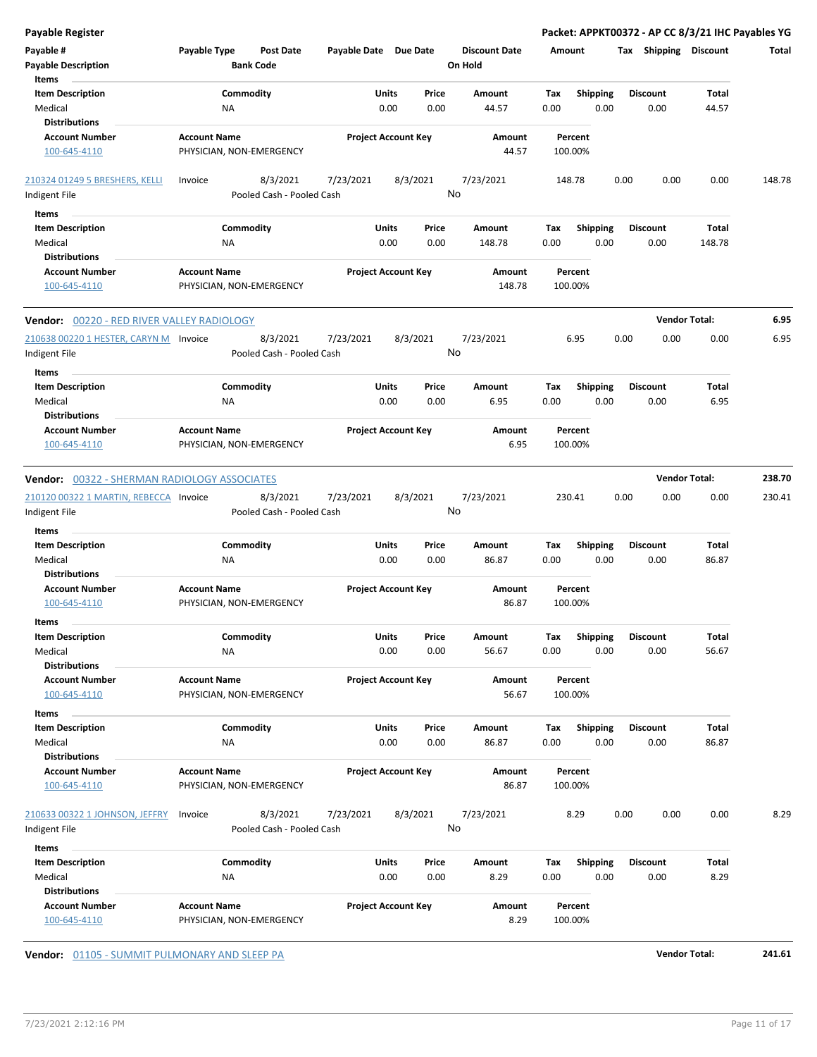| <b>Payable Register</b>                                 |                                                  |                            |                |                      | Packet: APPKT00372 - AP CC 8/3/21 IHC Payables YG |                       |                      |        |
|---------------------------------------------------------|--------------------------------------------------|----------------------------|----------------|----------------------|---------------------------------------------------|-----------------------|----------------------|--------|
| Payable #                                               | Payable Type<br>Post Date                        | Payable Date Due Date      |                | <b>Discount Date</b> | Amount                                            | Tax Shipping Discount |                      | Total  |
| <b>Payable Description</b>                              | <b>Bank Code</b>                                 |                            |                | On Hold              |                                                   |                       |                      |        |
| Items                                                   |                                                  |                            |                |                      |                                                   |                       |                      |        |
| <b>Item Description</b>                                 | Commodity                                        | Units                      | Price          | Amount               | Tax<br><b>Shipping</b>                            | <b>Discount</b>       | Total                |        |
| Medical                                                 | NA                                               | 0.00                       | 0.00           | 44.57                | 0.00<br>0.00                                      | 0.00                  | 44.57                |        |
| <b>Distributions</b>                                    |                                                  |                            |                |                      |                                                   |                       |                      |        |
| <b>Account Number</b>                                   | <b>Account Name</b>                              | <b>Project Account Key</b> |                | Amount               | Percent                                           |                       |                      |        |
| 100-645-4110                                            | PHYSICIAN, NON-EMERGENCY                         |                            |                | 44.57                | 100.00%                                           |                       |                      |        |
| 210324 01249 5 BRESHERS, KELLI<br>Indigent File         | 8/3/2021<br>Invoice<br>Pooled Cash - Pooled Cash | 7/23/2021                  | 8/3/2021<br>No | 7/23/2021            | 148.78                                            | 0.00<br>0.00          | 0.00                 | 148.78 |
|                                                         |                                                  |                            |                |                      |                                                   |                       |                      |        |
| Items                                                   |                                                  |                            |                |                      |                                                   |                       |                      |        |
| <b>Item Description</b>                                 | Commodity                                        | Units                      | Price          | Amount               | <b>Shipping</b><br>Tax                            | <b>Discount</b>       | Total                |        |
| Medical                                                 | NA                                               | 0.00                       | 0.00           | 148.78               | 0.00<br>0.00                                      | 0.00                  | 148.78               |        |
| <b>Distributions</b>                                    |                                                  |                            |                |                      |                                                   |                       |                      |        |
| <b>Account Number</b><br>100-645-4110                   | <b>Account Name</b><br>PHYSICIAN, NON-EMERGENCY  | <b>Project Account Key</b> |                | Amount<br>148.78     | Percent<br>100.00%                                |                       |                      |        |
| Vendor: 00220 - RED RIVER VALLEY RADIOLOGY              |                                                  |                            |                |                      |                                                   |                       | <b>Vendor Total:</b> | 6.95   |
| 210638 00220 1 HESTER, CARYN M Invoice                  | 8/3/2021                                         | 7/23/2021                  | 8/3/2021       | 7/23/2021            | 6.95                                              | 0.00<br>0.00          | 0.00                 | 6.95   |
| Indigent File                                           | Pooled Cash - Pooled Cash                        |                            | No             |                      |                                                   |                       |                      |        |
| Items                                                   |                                                  |                            |                |                      |                                                   |                       |                      |        |
| <b>Item Description</b>                                 | Commodity                                        | Units                      | Price          | Amount               | <b>Shipping</b><br>Tax                            | <b>Discount</b>       | Total                |        |
| Medical                                                 | NA                                               | 0.00                       | 0.00           | 6.95                 | 0.00<br>0.00                                      | 0.00                  | 6.95                 |        |
| <b>Distributions</b>                                    |                                                  |                            |                |                      |                                                   |                       |                      |        |
| <b>Account Number</b>                                   | <b>Account Name</b>                              | <b>Project Account Key</b> |                | Amount               | Percent                                           |                       |                      |        |
|                                                         |                                                  |                            |                |                      |                                                   |                       |                      |        |
| 100-645-4110                                            | PHYSICIAN, NON-EMERGENCY                         |                            |                | 6.95                 | 100.00%                                           |                       |                      |        |
|                                                         |                                                  |                            |                |                      |                                                   |                       |                      |        |
| <b>Vendor: 00322 - SHERMAN RADIOLOGY ASSOCIATES</b>     |                                                  |                            |                |                      |                                                   |                       | <b>Vendor Total:</b> | 238.70 |
| 210120 00322 1 MARTIN, REBECCA Invoice<br>Indigent File | 8/3/2021<br>Pooled Cash - Pooled Cash            | 7/23/2021                  | 8/3/2021<br>No | 7/23/2021            | 230.41                                            | 0.00<br>0.00          | 0.00                 | 230.41 |
| Items                                                   |                                                  |                            |                |                      |                                                   |                       |                      |        |
| <b>Item Description</b>                                 | Commodity                                        | Units                      | Price          | Amount               | <b>Shipping</b><br>Tax                            | <b>Discount</b>       | Total                |        |
| Medical                                                 | NA                                               | 0.00                       | 0.00           | 86.87                | 0.00<br>0.00                                      | 0.00                  | 86.87                |        |
| <b>Distributions</b>                                    |                                                  |                            |                |                      |                                                   |                       |                      |        |
| <b>Account Number</b>                                   | <b>Account Name</b>                              | <b>Project Account Key</b> |                | Amount               | Percent                                           |                       |                      |        |
| 100-645-4110                                            | PHYSICIAN, NON-EMERGENCY                         |                            |                | 86.87                | 100.00%                                           |                       |                      |        |
| ltems                                                   |                                                  |                            |                |                      |                                                   |                       |                      |        |
|                                                         | Commodity                                        |                            |                |                      |                                                   | <b>Discount</b>       |                      |        |
| <b>Item Description</b>                                 |                                                  | Units                      | Price<br>0.00  | Amount               | Shipping<br>Tax                                   |                       | Total<br>56.67       |        |
| Medical<br><b>Distributions</b>                         | NA                                               | 0.00                       |                | 56.67                | 0.00<br>0.00                                      | 0.00                  |                      |        |
| <b>Account Number</b>                                   | <b>Account Name</b>                              | <b>Project Account Key</b> |                | Amount               | Percent                                           |                       |                      |        |
| 100-645-4110                                            | PHYSICIAN, NON-EMERGENCY                         |                            |                | 56.67                | 100.00%                                           |                       |                      |        |
|                                                         |                                                  |                            |                |                      |                                                   |                       |                      |        |
| Items                                                   |                                                  |                            |                |                      |                                                   |                       |                      |        |
| <b>Item Description</b>                                 | Commodity                                        | Units                      | Price          | Amount               | <b>Shipping</b><br>Tax                            | Discount              | Total                |        |
| Medical                                                 | <b>NA</b>                                        | 0.00                       | 0.00           | 86.87                | 0.00<br>0.00                                      | 0.00                  | 86.87                |        |
| <b>Distributions</b>                                    |                                                  |                            |                |                      |                                                   |                       |                      |        |
| <b>Account Number</b>                                   | <b>Account Name</b>                              | <b>Project Account Key</b> |                | Amount               | Percent                                           |                       |                      |        |
| 100-645-4110                                            | PHYSICIAN, NON-EMERGENCY                         |                            |                | 86.87                | 100.00%                                           |                       |                      |        |
|                                                         |                                                  |                            |                |                      |                                                   |                       |                      |        |
| 210633 00322 1 JOHNSON, JEFFRY                          | 8/3/2021<br>Invoice                              | 7/23/2021                  | 8/3/2021       | 7/23/2021            | 8.29                                              | 0.00<br>0.00          | 0.00                 | 8.29   |
| Indigent File                                           | Pooled Cash - Pooled Cash                        |                            | No             |                      |                                                   |                       |                      |        |
| Items                                                   |                                                  |                            |                |                      |                                                   |                       |                      |        |
| <b>Item Description</b>                                 | Commodity                                        | Units                      | Price          | Amount               | <b>Shipping</b><br>Тах                            | <b>Discount</b>       | Total                |        |
| Medical                                                 | ΝA                                               | 0.00                       | 0.00           | 8.29                 | 0.00<br>0.00                                      | 0.00                  | 8.29                 |        |
| <b>Distributions</b>                                    |                                                  |                            |                |                      |                                                   |                       |                      |        |
| <b>Account Number</b>                                   | <b>Account Name</b>                              | <b>Project Account Key</b> |                | Amount               | Percent                                           |                       |                      |        |
| 100-645-4110                                            | PHYSICIAN, NON-EMERGENCY                         |                            |                | 8.29                 | 100.00%                                           |                       |                      |        |

**Vendor:**  $\underline{01105}$  - SUMMIT PULMONARY AND SLEEP PA **Vendor Total:** 241.61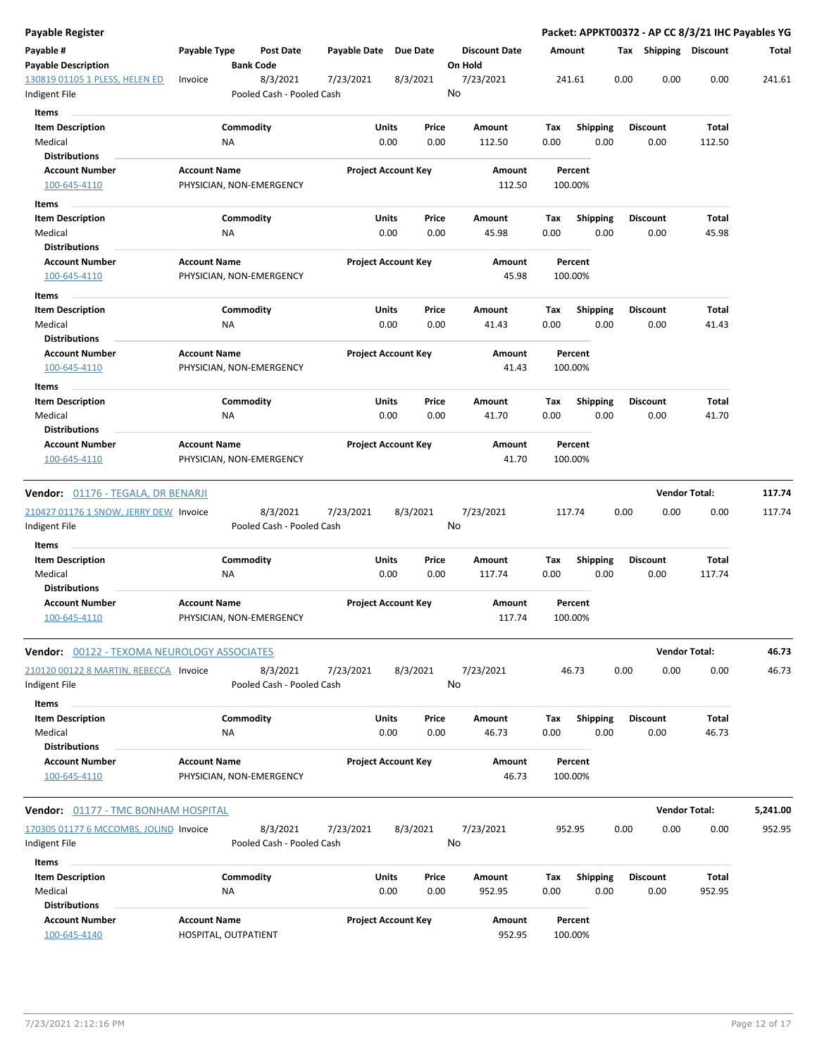| Payable Register                                                                     |                     |                                       |                       |                            |                                 |        |                 |      |                 | Packet: APPKT00372 - AP CC 8/3/21 IHC Payables YG |          |
|--------------------------------------------------------------------------------------|---------------------|---------------------------------------|-----------------------|----------------------------|---------------------------------|--------|-----------------|------|-----------------|---------------------------------------------------|----------|
| Payable #<br><b>Payable Description</b>                                              | Payable Type        | <b>Post Date</b><br><b>Bank Code</b>  | Payable Date Due Date |                            | <b>Discount Date</b><br>On Hold | Amount |                 |      |                 | Tax Shipping Discount                             | Total    |
| 130819 01105 1 PLESS, HELEN ED<br>Indigent File                                      | Invoice             | 8/3/2021<br>Pooled Cash - Pooled Cash | 7/23/2021             | 8/3/2021                   | 7/23/2021<br>No                 |        | 241.61          | 0.00 | 0.00            | 0.00                                              | 241.61   |
| Items                                                                                |                     |                                       |                       |                            |                                 |        |                 |      |                 |                                                   |          |
| <b>Item Description</b>                                                              |                     | Commodity                             |                       | <b>Units</b><br>Price      | Amount                          | Tax    | <b>Shipping</b> |      | <b>Discount</b> | Total                                             |          |
| Medical                                                                              |                     | <b>NA</b>                             |                       | 0.00<br>0.00               | 112.50                          | 0.00   | 0.00            |      | 0.00            | 112.50                                            |          |
| <b>Distributions</b>                                                                 |                     |                                       |                       |                            |                                 |        |                 |      |                 |                                                   |          |
| <b>Account Number</b>                                                                | <b>Account Name</b> |                                       |                       | <b>Project Account Key</b> | Amount                          |        | Percent         |      |                 |                                                   |          |
| 100-645-4110                                                                         |                     | PHYSICIAN, NON-EMERGENCY              |                       |                            | 112.50                          |        | 100.00%         |      |                 |                                                   |          |
| Items                                                                                |                     |                                       |                       |                            |                                 |        |                 |      |                 |                                                   |          |
| <b>Item Description</b>                                                              |                     | Commodity                             |                       | Units<br>Price             | Amount                          | Tax    | <b>Shipping</b> |      | <b>Discount</b> | Total                                             |          |
| Medical                                                                              |                     | NA                                    |                       | 0.00<br>0.00               | 45.98                           | 0.00   | 0.00            |      | 0.00            | 45.98                                             |          |
| <b>Distributions</b>                                                                 |                     |                                       |                       |                            |                                 |        |                 |      |                 |                                                   |          |
| <b>Account Number</b>                                                                | <b>Account Name</b> |                                       |                       | <b>Project Account Key</b> | Amount                          |        | Percent         |      |                 |                                                   |          |
| 100-645-4110                                                                         |                     | PHYSICIAN, NON-EMERGENCY              |                       |                            | 45.98                           |        | 100.00%         |      |                 |                                                   |          |
| Items                                                                                |                     |                                       |                       |                            |                                 |        |                 |      |                 |                                                   |          |
| <b>Item Description</b>                                                              |                     | Commodity                             |                       | Units<br>Price             | Amount                          | Тах    | <b>Shipping</b> |      | <b>Discount</b> | Total                                             |          |
| Medical                                                                              |                     | ΝA                                    |                       | 0.00<br>0.00               | 41.43                           | 0.00   | 0.00            |      | 0.00            | 41.43                                             |          |
| <b>Distributions</b>                                                                 |                     |                                       |                       |                            |                                 |        |                 |      |                 |                                                   |          |
| <b>Account Number</b>                                                                | <b>Account Name</b> |                                       |                       | <b>Project Account Key</b> | Amount                          |        | Percent         |      |                 |                                                   |          |
| 100-645-4110                                                                         |                     | PHYSICIAN, NON-EMERGENCY              |                       |                            | 41.43                           |        | 100.00%         |      |                 |                                                   |          |
| Items                                                                                |                     |                                       |                       |                            |                                 |        |                 |      |                 |                                                   |          |
| <b>Item Description</b>                                                              |                     | Commodity                             |                       | <b>Units</b><br>Price      | Amount                          | Tax    | Shipping        |      | <b>Discount</b> | Total                                             |          |
| Medical                                                                              |                     | ΝA                                    |                       | 0.00<br>0.00               | 41.70                           | 0.00   | 0.00            |      | 0.00            | 41.70                                             |          |
| <b>Distributions</b>                                                                 |                     |                                       |                       |                            |                                 |        |                 |      |                 |                                                   |          |
| <b>Account Number</b>                                                                | <b>Account Name</b> |                                       |                       | <b>Project Account Key</b> | Amount                          |        | Percent         |      |                 |                                                   |          |
| 100-645-4110                                                                         |                     | PHYSICIAN, NON-EMERGENCY              |                       |                            | 41.70                           |        | 100.00%         |      |                 |                                                   |          |
| <b>Vendor:</b> 01176 - TEGALA, DR BENARJI                                            |                     |                                       |                       |                            |                                 |        |                 |      |                 | <b>Vendor Total:</b>                              | 117.74   |
|                                                                                      |                     |                                       |                       |                            |                                 |        |                 |      |                 |                                                   |          |
| 210427 01176 1 SNOW, JERRY DEW Invoice                                               |                     | 8/3/2021<br>Pooled Cash - Pooled Cash | 7/23/2021             | 8/3/2021                   | 7/23/2021<br>No                 |        | 117.74          | 0.00 | 0.00            | 0.00                                              | 117.74   |
| Indigent File                                                                        |                     |                                       |                       |                            |                                 |        |                 |      |                 |                                                   |          |
| Items                                                                                |                     |                                       |                       |                            |                                 |        |                 |      |                 |                                                   |          |
| <b>Item Description</b>                                                              |                     | Commodity                             |                       | Units<br>Price             | Amount                          | Tax    | <b>Shipping</b> |      | <b>Discount</b> | Total                                             |          |
| Medical                                                                              |                     | NA                                    |                       | 0.00<br>0.00               | 117.74                          | 0.00   | 0.00            |      | 0.00            | 117.74                                            |          |
| <b>Distributions</b><br><b>Account Number</b>                                        |                     |                                       |                       | <b>Project Account Key</b> |                                 |        | Percent         |      |                 |                                                   |          |
| 100-645-4110                                                                         | <b>Account Name</b> | PHYSICIAN, NON-EMERGENCY              |                       |                            | Amount<br>117.74                |        | 100.00%         |      |                 |                                                   |          |
|                                                                                      |                     |                                       |                       |                            |                                 |        |                 |      |                 |                                                   |          |
| Vendor: 00122 - TEXOMA NEUROLOGY ASSOCIATES                                          |                     |                                       |                       |                            |                                 |        |                 |      |                 | <b>Vendor Total:</b>                              | 46.73    |
| 210120 00122 8 MARTIN, REBECCA Invoice                                               |                     | 8/3/2021                              | 7/23/2021             | 8/3/2021                   | 7/23/2021                       |        | 46.73           | 0.00 | 0.00            | 0.00                                              | 46.73    |
| Indigent File                                                                        |                     | Pooled Cash - Pooled Cash             |                       |                            | No                              |        |                 |      |                 |                                                   |          |
| Items                                                                                |                     |                                       |                       |                            |                                 |        |                 |      |                 |                                                   |          |
| <b>Item Description</b>                                                              |                     | Commodity                             |                       | Units<br>Price             | Amount                          | Tax    | <b>Shipping</b> |      | <b>Discount</b> | Total                                             |          |
| Medical                                                                              |                     | ΝA                                    |                       | 0.00<br>0.00               | 46.73                           | 0.00   | 0.00            |      | 0.00            | 46.73                                             |          |
| <b>Distributions</b>                                                                 |                     |                                       |                       |                            |                                 |        |                 |      |                 |                                                   |          |
| <b>Account Number</b>                                                                | <b>Account Name</b> |                                       |                       | <b>Project Account Key</b> | Amount                          |        | Percent         |      |                 |                                                   |          |
| 100-645-4110                                                                         |                     | PHYSICIAN, NON-EMERGENCY              |                       |                            | 46.73                           |        | 100.00%         |      |                 |                                                   |          |
|                                                                                      |                     |                                       |                       |                            |                                 |        |                 |      |                 | <b>Vendor Total:</b>                              | 5,241.00 |
| <b>Vendor:</b> 01177 - TMC BONHAM HOSPITAL<br>170305 01177 6 MCCOMBS, JOLIND Invoice |                     | 8/3/2021                              | 7/23/2021             | 8/3/2021                   | 7/23/2021                       |        | 952.95          | 0.00 | 0.00            | 0.00                                              | 952.95   |
| Indigent File                                                                        |                     | Pooled Cash - Pooled Cash             |                       |                            | No                              |        |                 |      |                 |                                                   |          |
|                                                                                      |                     |                                       |                       |                            |                                 |        |                 |      |                 |                                                   |          |
| Items                                                                                |                     |                                       |                       |                            |                                 |        |                 |      |                 |                                                   |          |
| <b>Item Description</b>                                                              |                     | Commodity                             |                       | Units<br>Price             | Amount                          | Tax    | <b>Shipping</b> |      | <b>Discount</b> | Total                                             |          |
| Medical<br><b>Distributions</b>                                                      |                     | ΝA                                    |                       | 0.00<br>0.00               | 952.95                          | 0.00   | 0.00            |      | 0.00            | 952.95                                            |          |
| <b>Account Number</b>                                                                | <b>Account Name</b> |                                       |                       | <b>Project Account Key</b> | Amount                          |        | Percent         |      |                 |                                                   |          |
| 100-645-4140                                                                         |                     | HOSPITAL, OUTPATIENT                  |                       |                            | 952.95                          |        | 100.00%         |      |                 |                                                   |          |
|                                                                                      |                     |                                       |                       |                            |                                 |        |                 |      |                 |                                                   |          |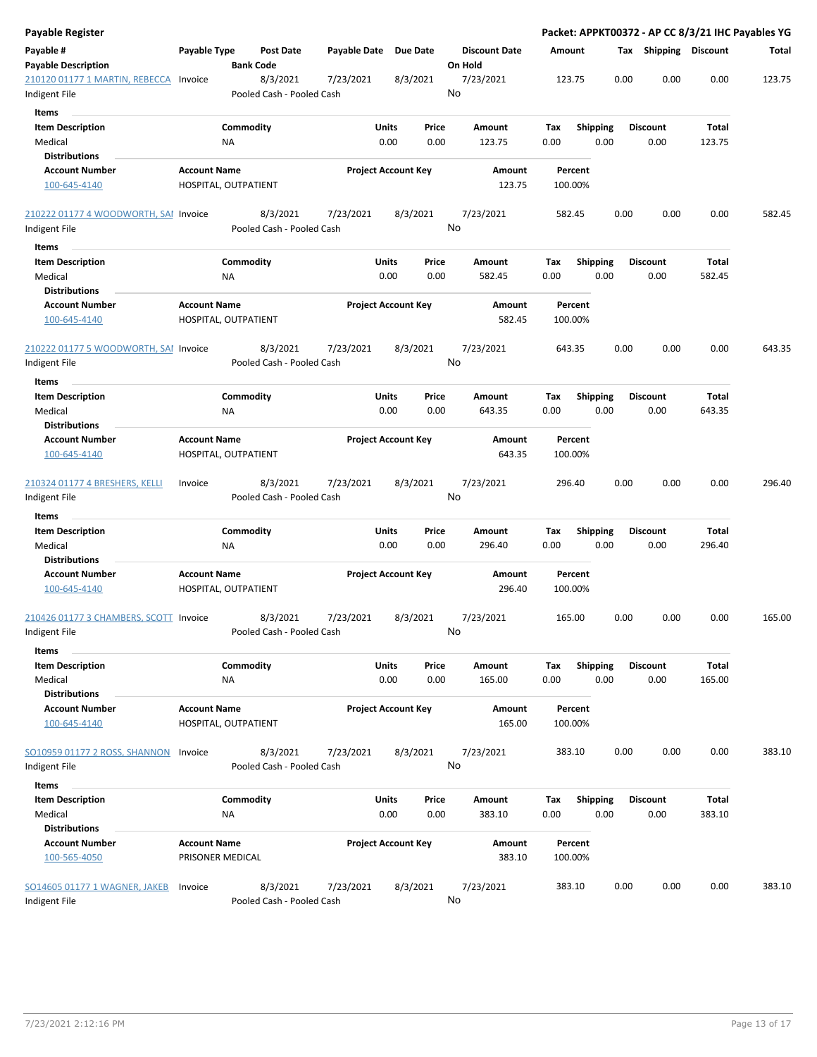| <b>Payable Register</b>                |                                             |                  |                           |              |                            |                 |                      |      |                    |                 |      |                       |              | Packet: APPKT00372 - AP CC 8/3/21 IHC Payables YG |
|----------------------------------------|---------------------------------------------|------------------|---------------------------|--------------|----------------------------|-----------------|----------------------|------|--------------------|-----------------|------|-----------------------|--------------|---------------------------------------------------|
| Payable #                              | Payable Type                                |                  | <b>Post Date</b>          | Payable Date |                            | <b>Due Date</b> | <b>Discount Date</b> |      | Amount             |                 |      | Tax Shipping Discount |              | Total                                             |
| <b>Payable Description</b>             |                                             | <b>Bank Code</b> |                           |              |                            |                 | On Hold              |      |                    |                 |      |                       |              |                                                   |
| 210120 01177 1 MARTIN, REBECCA         | Invoice                                     |                  | 8/3/2021                  | 7/23/2021    |                            | 8/3/2021        | 7/23/2021            |      | 123.75             |                 | 0.00 | 0.00                  | 0.00         | 123.75                                            |
| Indigent File                          |                                             |                  | Pooled Cash - Pooled Cash |              |                            |                 | No                   |      |                    |                 |      |                       |              |                                                   |
| Items                                  |                                             |                  |                           |              |                            |                 |                      |      |                    |                 |      |                       |              |                                                   |
| <b>Item Description</b>                |                                             | Commodity        |                           |              | Units                      | Price           | Amount               | Tax  |                    | <b>Shipping</b> |      | <b>Discount</b>       | Total        |                                                   |
| Medical                                |                                             | <b>NA</b>        |                           |              | 0.00                       | 0.00            | 123.75               | 0.00 |                    | 0.00            |      | 0.00                  | 123.75       |                                                   |
| <b>Distributions</b>                   |                                             |                  |                           |              |                            |                 |                      |      |                    |                 |      |                       |              |                                                   |
| <b>Account Number</b>                  | <b>Account Name</b>                         |                  |                           |              | <b>Project Account Key</b> |                 | Amount               |      | Percent            |                 |      |                       |              |                                                   |
| 100-645-4140                           | HOSPITAL, OUTPATIENT                        |                  |                           |              |                            |                 | 123.75               |      | 100.00%            |                 |      |                       |              |                                                   |
| 210222 01177 4 WOODWORTH, SAI Invoice  |                                             |                  | 8/3/2021                  | 7/23/2021    |                            | 8/3/2021        | 7/23/2021            |      | 582.45             |                 | 0.00 | 0.00                  | 0.00         | 582.45                                            |
| Indigent File                          |                                             |                  | Pooled Cash - Pooled Cash |              |                            |                 | No                   |      |                    |                 |      |                       |              |                                                   |
| Items                                  |                                             |                  |                           |              |                            |                 |                      |      |                    |                 |      |                       |              |                                                   |
| <b>Item Description</b>                |                                             | Commodity        |                           |              | Units                      | Price           | Amount               | Tax  |                    | <b>Shipping</b> |      | <b>Discount</b>       | Total        |                                                   |
| Medical                                |                                             | ΝA               |                           |              | 0.00                       | 0.00            | 582.45               | 0.00 |                    | 0.00            |      | 0.00                  | 582.45       |                                                   |
| <b>Distributions</b>                   |                                             |                  |                           |              |                            |                 |                      |      |                    |                 |      |                       |              |                                                   |
| <b>Account Number</b><br>100-645-4140  | <b>Account Name</b><br>HOSPITAL, OUTPATIENT |                  |                           |              | <b>Project Account Key</b> |                 | Amount<br>582.45     |      | Percent<br>100.00% |                 |      |                       |              |                                                   |
| 210222 01177 5 WOODWORTH, SAI Invoice  |                                             |                  | 8/3/2021                  | 7/23/2021    |                            | 8/3/2021        | 7/23/2021            |      | 643.35             |                 | 0.00 | 0.00                  | 0.00         | 643.35                                            |
| Indigent File                          |                                             |                  | Pooled Cash - Pooled Cash |              |                            |                 | No                   |      |                    |                 |      |                       |              |                                                   |
| Items                                  |                                             |                  |                           |              |                            |                 |                      |      |                    |                 |      |                       |              |                                                   |
| <b>Item Description</b>                |                                             | Commodity        |                           |              | Units                      | Price           | Amount               | Tax  |                    | <b>Shipping</b> |      | Discount              | Total        |                                                   |
| Medical                                |                                             | ΝA               |                           |              | 0.00                       | 0.00            | 643.35               | 0.00 |                    | 0.00            |      | 0.00                  | 643.35       |                                                   |
| <b>Distributions</b>                   |                                             |                  |                           |              |                            |                 |                      |      |                    |                 |      |                       |              |                                                   |
| <b>Account Number</b>                  | <b>Account Name</b>                         |                  |                           |              | <b>Project Account Key</b> |                 | Amount               |      | Percent            |                 |      |                       |              |                                                   |
| 100-645-4140                           | HOSPITAL, OUTPATIENT                        |                  |                           |              |                            |                 | 643.35               |      | 100.00%            |                 |      |                       |              |                                                   |
| 210324 01177 4 BRESHERS, KELLI         | Invoice                                     |                  | 8/3/2021                  | 7/23/2021    |                            | 8/3/2021        | 7/23/2021            |      | 296.40             |                 | 0.00 | 0.00                  | 0.00         | 296.40                                            |
| Indigent File                          |                                             |                  | Pooled Cash - Pooled Cash |              |                            |                 | No                   |      |                    |                 |      |                       |              |                                                   |
| Items                                  |                                             |                  |                           |              |                            |                 |                      |      |                    |                 |      |                       |              |                                                   |
| <b>Item Description</b>                |                                             | Commodity        |                           |              | Units                      | Price           | Amount               | Tax  |                    | <b>Shipping</b> |      | <b>Discount</b>       | Total        |                                                   |
| Medical                                |                                             | ΝA               |                           |              | 0.00                       | 0.00            | 296.40               | 0.00 |                    | 0.00            |      | 0.00                  | 296.40       |                                                   |
| <b>Distributions</b>                   |                                             |                  |                           |              |                            |                 |                      |      |                    |                 |      |                       |              |                                                   |
| <b>Account Number</b>                  | <b>Account Name</b>                         |                  |                           |              | <b>Project Account Key</b> |                 | <b>Amount</b>        |      | Percent            |                 |      |                       |              |                                                   |
| 100-645-4140                           | HOSPITAL, OUTPATIENT                        |                  |                           |              |                            |                 | 296.40               |      | 100.00%            |                 |      |                       |              |                                                   |
| 210426 01177 3 CHAMBERS, SCOTT Invoice |                                             |                  | 8/3/2021                  | 7/23/2021    |                            | 8/3/2021        | 7/23/2021            |      | 165.00             |                 | 0.00 | 0.00                  | 0.00         | 165.00                                            |
| Indigent File                          |                                             |                  | Pooled Cash - Pooled Cash |              |                            |                 | No                   |      |                    |                 |      |                       |              |                                                   |
| Items                                  |                                             |                  |                           |              |                            |                 |                      |      |                    |                 |      |                       |              |                                                   |
| <b>Item Description</b>                |                                             | Commodity        |                           |              | Units                      | Price           | Amount               | Tax  |                    | Shipping        |      | Discount              | <b>Total</b> |                                                   |
| Medical                                |                                             | <b>NA</b>        |                           |              | 0.00                       | 0.00            | 165.00               | 0.00 |                    | 0.00            |      | 0.00                  | 165.00       |                                                   |
| <b>Distributions</b>                   |                                             |                  |                           |              |                            |                 |                      |      |                    |                 |      |                       |              |                                                   |
| <b>Account Number</b><br>100-645-4140  | <b>Account Name</b><br>HOSPITAL, OUTPATIENT |                  |                           |              | <b>Project Account Key</b> |                 | Amount<br>165.00     |      | Percent<br>100.00% |                 |      |                       |              |                                                   |
| SO10959 01177 2 ROSS, SHANNON          | Invoice                                     |                  | 8/3/2021                  | 7/23/2021    |                            | 8/3/2021        | 7/23/2021            |      | 383.10             |                 | 0.00 | 0.00                  | 0.00         | 383.10                                            |
| Indigent File                          |                                             |                  | Pooled Cash - Pooled Cash |              |                            |                 | No                   |      |                    |                 |      |                       |              |                                                   |
| Items                                  |                                             |                  |                           |              |                            |                 |                      |      |                    |                 |      |                       |              |                                                   |
|                                        |                                             | Commodity        |                           |              | Units                      | Price           | Amount               | Tax  |                    |                 |      | <b>Discount</b>       | Total        |                                                   |
| <b>Item Description</b>                |                                             |                  |                           |              |                            |                 |                      |      |                    | <b>Shipping</b> |      |                       |              |                                                   |
| Medical<br><b>Distributions</b>        |                                             | <b>NA</b>        |                           |              | 0.00                       | 0.00            | 383.10               | 0.00 |                    | 0.00            |      | 0.00                  | 383.10       |                                                   |
| <b>Account Number</b>                  | <b>Account Name</b>                         |                  |                           |              |                            |                 |                      |      |                    |                 |      |                       |              |                                                   |
| 100-565-4050                           | PRISONER MEDICAL                            |                  |                           |              | <b>Project Account Key</b> |                 | Amount<br>383.10     |      | Percent<br>100.00% |                 |      |                       |              |                                                   |
| SO14605 01177 1 WAGNER, JAKEB          | Invoice                                     |                  | 8/3/2021                  | 7/23/2021    |                            | 8/3/2021        | 7/23/2021            |      | 383.10             |                 | 0.00 | 0.00                  | 0.00         | 383.10                                            |
| Indigent File                          |                                             |                  | Pooled Cash - Pooled Cash |              |                            |                 | No                   |      |                    |                 |      |                       |              |                                                   |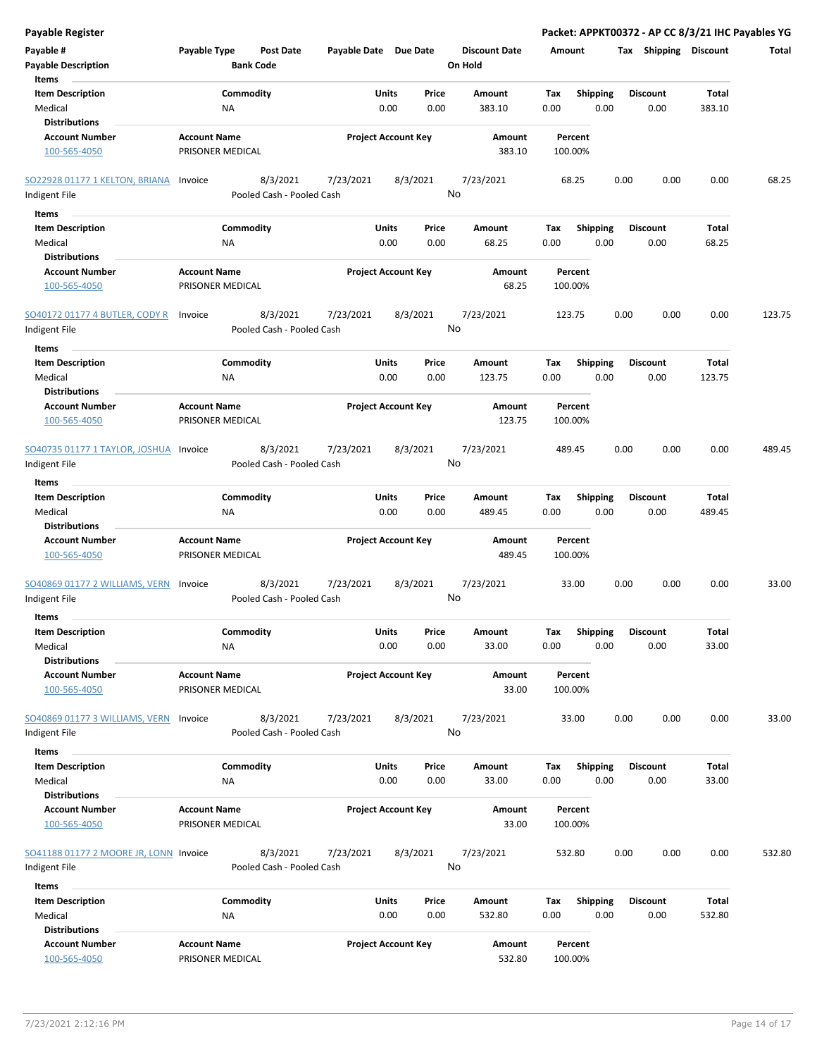| Payable #<br>Payable Type<br><b>Post Date</b><br>Payable Date Due Date<br><b>Discount Date</b><br><b>Tax Shipping Discount</b><br>Amount<br><b>Bank Code</b><br>On Hold<br><b>Payable Description</b><br>Items<br><b>Item Description</b><br>Commodity<br><b>Shipping</b><br>Units<br>Price<br>Amount<br>Tax<br><b>Discount</b> | Total<br><b>Total</b><br>383.10 |
|---------------------------------------------------------------------------------------------------------------------------------------------------------------------------------------------------------------------------------------------------------------------------------------------------------------------------------|---------------------------------|
|                                                                                                                                                                                                                                                                                                                                 |                                 |
|                                                                                                                                                                                                                                                                                                                                 |                                 |
|                                                                                                                                                                                                                                                                                                                                 |                                 |
| Medical<br><b>NA</b><br>0.00<br>383.10<br>0.00<br>0.00<br>0.00<br>0.00                                                                                                                                                                                                                                                          |                                 |
| <b>Distributions</b>                                                                                                                                                                                                                                                                                                            |                                 |
| <b>Account Number</b><br><b>Account Name</b><br><b>Project Account Key</b><br>Amount<br>Percent<br>100-565-4050<br>PRISONER MEDICAL<br>383.10<br>100.00%                                                                                                                                                                        |                                 |
| SO22928 01177 1 KELTON, BRIANA<br>8/3/2021<br>7/23/2021<br>8/3/2021<br>7/23/2021<br>0.00<br>0.00<br>Invoice<br>68.25                                                                                                                                                                                                            | 0.00<br>68.25                   |
| No<br>Pooled Cash - Pooled Cash<br>Indigent File                                                                                                                                                                                                                                                                                |                                 |
|                                                                                                                                                                                                                                                                                                                                 |                                 |
| Items                                                                                                                                                                                                                                                                                                                           |                                 |
| <b>Item Description</b><br>Commodity<br>Units<br>Amount<br><b>Shipping</b><br><b>Discount</b><br>Price<br>Tax<br>Medical<br><b>NA</b><br>0.00<br>0.00<br>68.25<br>0.00<br>0.00<br>0.00                                                                                                                                          | Total<br>68.25                  |
| <b>Distributions</b>                                                                                                                                                                                                                                                                                                            |                                 |
| <b>Account Name</b><br><b>Project Account Key</b><br><b>Account Number</b><br>Amount<br>Percent                                                                                                                                                                                                                                 |                                 |
| 100-565-4050<br>PRISONER MEDICAL<br>68.25<br>100.00%                                                                                                                                                                                                                                                                            |                                 |
| 8/3/2021<br>SO40172 01177 4 BUTLER, CODY R<br>7/23/2021<br>8/3/2021<br>7/23/2021<br>123.75<br>0.00<br>0.00<br>Invoice<br>No<br>Pooled Cash - Pooled Cash<br>Indigent File                                                                                                                                                       | 0.00<br>123.75                  |
| Items                                                                                                                                                                                                                                                                                                                           |                                 |
| Commodity<br><b>Shipping</b><br><b>Item Description</b><br>Units<br>Price<br>Amount<br>Tax<br><b>Discount</b><br>Medical<br>0.00<br><b>NA</b><br>0.00<br>0.00<br>123.75<br>0.00<br>0.00                                                                                                                                         | Total<br>123.75                 |
| <b>Distributions</b>                                                                                                                                                                                                                                                                                                            |                                 |
| <b>Account Name</b><br><b>Project Account Key</b><br><b>Account Number</b><br>Amount<br>Percent<br>PRISONER MEDICAL<br>123.75<br>100-565-4050<br>100.00%                                                                                                                                                                        |                                 |
| SO40735 01177 1 TAYLOR, JOSHUA Invoice<br>8/3/2021<br>7/23/2021<br>8/3/2021<br>7/23/2021<br>0.00<br>0.00<br>489.45                                                                                                                                                                                                              | 0.00<br>489.45                  |
| No<br>Pooled Cash - Pooled Cash<br>Indigent File                                                                                                                                                                                                                                                                                |                                 |
|                                                                                                                                                                                                                                                                                                                                 |                                 |
| Items                                                                                                                                                                                                                                                                                                                           |                                 |
| <b>Item Description</b><br>Commodity<br>Units<br><b>Shipping</b><br><b>Discount</b><br>Price<br>Amount<br>Tax<br>0.00<br>0.00<br>489.45<br>0.00<br>0.00                                                                                                                                                                         | Total<br>489.45                 |
| 0.00<br>Medical<br><b>NA</b><br><b>Distributions</b>                                                                                                                                                                                                                                                                            |                                 |
| <b>Account Name</b><br><b>Project Account Key</b><br><b>Account Number</b><br>Amount<br>Percent                                                                                                                                                                                                                                 |                                 |
| 100-565-4050<br>PRISONER MEDICAL<br>489.45<br>100.00%                                                                                                                                                                                                                                                                           |                                 |
| 8/3/2021<br>7/23/2021<br>33.00<br>0.00<br>0.00<br>SO40869 01177 2 WILLIAMS, VERN<br>7/23/2021<br>8/3/2021<br>Invoice<br>No<br>Indigent File<br>Pooled Cash - Pooled Cash                                                                                                                                                        | 0.00<br>33.00                   |
| Items                                                                                                                                                                                                                                                                                                                           |                                 |
| Shipping<br><b>Item Description</b><br>Commodity<br>Units<br>Price<br>Amount<br><b>Discount</b><br>Tax                                                                                                                                                                                                                          | Total                           |
| Medical<br>0.00<br>0.00<br>0.00<br><b>NA</b><br>0.00<br>33.00<br>0.00<br><b>Distributions</b>                                                                                                                                                                                                                                   | 33.00                           |
| <b>Account Number</b><br><b>Account Name</b><br><b>Project Account Key</b><br>Amount<br>Percent<br>100-565-4050<br>PRISONER MEDICAL<br>33.00<br>100.00%                                                                                                                                                                         |                                 |
| 8/3/2021<br>7/23/2021<br>SO40869 01177 3 WILLIAMS, VERN<br>7/23/2021<br>8/3/2021<br>33.00<br>0.00<br>0.00<br>Invoice<br>No<br>Pooled Cash - Pooled Cash<br>Indigent File                                                                                                                                                        | 0.00<br>33.00                   |
| Items                                                                                                                                                                                                                                                                                                                           |                                 |
| <b>Item Description</b><br>Commodity<br>Units<br><b>Shipping</b><br><b>Discount</b><br>Price<br>Amount<br>Тах                                                                                                                                                                                                                   | Total                           |
| 0.00<br>Medical<br>NA<br>0.00<br>33.00<br>0.00<br>0.00<br>0.00<br><b>Distributions</b>                                                                                                                                                                                                                                          | 33.00                           |
| <b>Account Number</b><br><b>Account Name</b><br><b>Project Account Key</b><br>Percent<br>Amount<br>100-565-4050<br>PRISONER MEDICAL<br>33.00<br>100.00%                                                                                                                                                                         |                                 |
| 8/3/2021<br>7/23/2021<br>8/3/2021<br>7/23/2021<br>0.00<br>0.00<br>SO41188 01177 2 MOORE JR, LONN Invoice<br>532.80<br>No<br>Pooled Cash - Pooled Cash<br>Indigent File                                                                                                                                                          | 0.00<br>532.80                  |
| Items                                                                                                                                                                                                                                                                                                                           |                                 |
| <b>Item Description</b><br>Commodity<br>Units<br>Price<br>Amount<br>Tax<br><b>Shipping</b><br><b>Discount</b>                                                                                                                                                                                                                   | Total                           |
| Medical<br><b>NA</b><br>0.00<br>0.00<br>532.80<br>0.00<br>0.00<br>0.00<br><b>Distributions</b>                                                                                                                                                                                                                                  | 532.80                          |
| <b>Account Number</b><br><b>Account Name</b><br><b>Project Account Key</b><br>Amount<br>Percent<br>532.80<br>100-565-4050<br>PRISONER MEDICAL<br>100.00%                                                                                                                                                                        |                                 |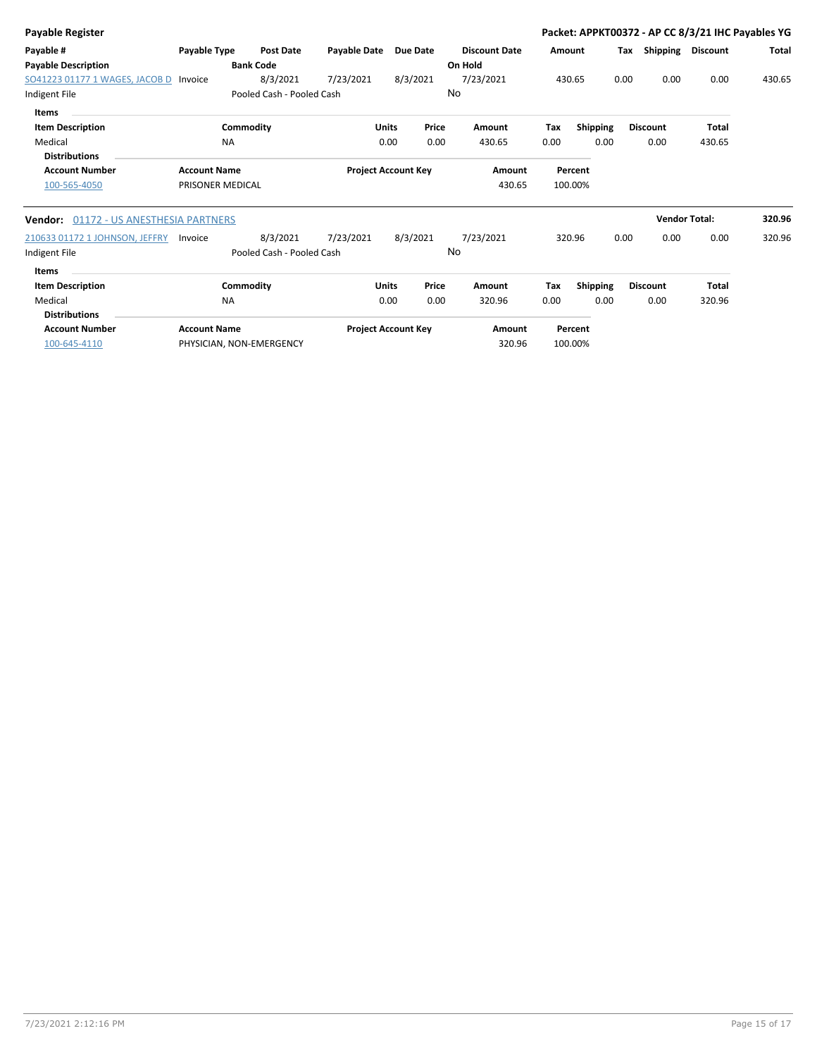| <b>Payable Register</b>                       |                     |                           |                            |                 |       |                      |        |                 |      |                 | Packet: APPKT00372 - AP CC 8/3/21 IHC Payables YG |              |
|-----------------------------------------------|---------------------|---------------------------|----------------------------|-----------------|-------|----------------------|--------|-----------------|------|-----------------|---------------------------------------------------|--------------|
| Payable #                                     | Payable Type        | <b>Post Date</b>          | <b>Payable Date</b>        | <b>Due Date</b> |       | <b>Discount Date</b> | Amount |                 | Тах  |                 | Shipping Discount                                 | <b>Total</b> |
| <b>Payable Description</b>                    |                     | <b>Bank Code</b>          |                            |                 |       | On Hold              |        |                 |      |                 |                                                   |              |
| SO41223 01177 1 WAGES, JACOB D                | Invoice             | 8/3/2021                  | 7/23/2021                  | 8/3/2021        |       | 7/23/2021            | 430.65 |                 | 0.00 | 0.00            | 0.00                                              | 430.65       |
| Indigent File                                 |                     | Pooled Cash - Pooled Cash |                            |                 | No    |                      |        |                 |      |                 |                                                   |              |
| Items                                         |                     |                           |                            |                 |       |                      |        |                 |      |                 |                                                   |              |
| <b>Item Description</b>                       |                     | Commodity                 |                            | <b>Units</b>    | Price | <b>Amount</b>        | Tax    | Shipping        |      | <b>Discount</b> | <b>Total</b>                                      |              |
| Medical                                       | <b>NA</b>           |                           |                            | 0.00            | 0.00  | 430.65               | 0.00   | 0.00            |      | 0.00            | 430.65                                            |              |
| <b>Distributions</b>                          |                     |                           |                            |                 |       |                      |        |                 |      |                 |                                                   |              |
| <b>Account Number</b>                         | <b>Account Name</b> |                           | <b>Project Account Key</b> |                 |       | Amount               |        | Percent         |      |                 |                                                   |              |
| 100-565-4050                                  | PRISONER MEDICAL    |                           |                            |                 |       | 430.65               |        | 100.00%         |      |                 |                                                   |              |
| <b>Vendor:</b> 01172 - US ANESTHESIA PARTNERS |                     |                           |                            |                 |       |                      |        |                 |      |                 | <b>Vendor Total:</b>                              | 320.96       |
| 210633 01172 1 JOHNSON, JEFFRY                | Invoice             | 8/3/2021                  | 7/23/2021                  | 8/3/2021        |       | 7/23/2021            |        | 320.96          | 0.00 | 0.00            | 0.00                                              | 320.96       |
| Indigent File                                 |                     | Pooled Cash - Pooled Cash |                            |                 | No    |                      |        |                 |      |                 |                                                   |              |
| <b>Items</b>                                  |                     |                           |                            |                 |       |                      |        |                 |      |                 |                                                   |              |
| <b>Item Description</b>                       |                     | Commodity                 |                            | <b>Units</b>    | Price | Amount               | Tax    | <b>Shipping</b> |      | <b>Discount</b> | <b>Total</b>                                      |              |
| Medical<br><b>Distributions</b>               | <b>NA</b>           |                           |                            | 0.00            | 0.00  | 320.96               | 0.00   | 0.00            |      | 0.00            | 320.96                                            |              |
| <b>Account Number</b>                         | <b>Account Name</b> |                           | <b>Project Account Key</b> |                 |       | Amount               |        | Percent         |      |                 |                                                   |              |
| 100-645-4110                                  |                     | PHYSICIAN, NON-EMERGENCY  |                            |                 |       | 320.96               |        | 100.00%         |      |                 |                                                   |              |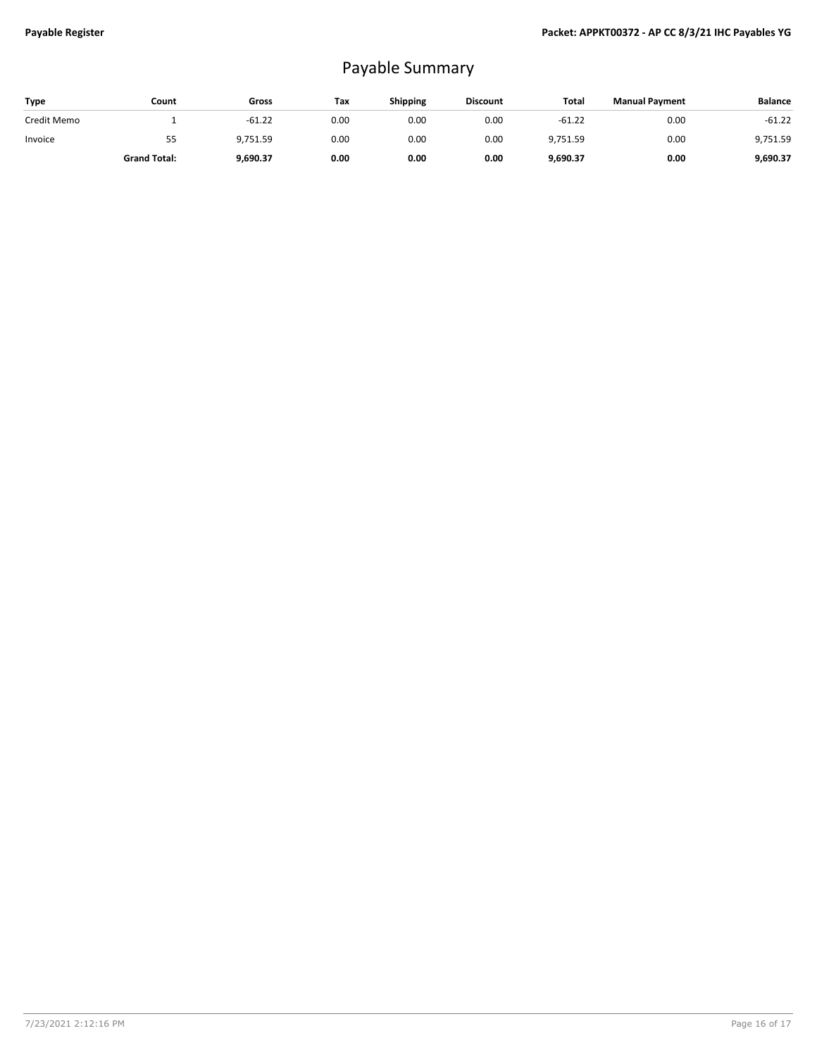# Payable Summary

| <b>Type</b> | Count               | Gross    | Tax  | <b>Shipping</b> | <b>Discount</b> | Total    | <b>Manual Payment</b> | <b>Balance</b> |
|-------------|---------------------|----------|------|-----------------|-----------------|----------|-----------------------|----------------|
| Credit Memo |                     | $-61.22$ | 0.00 | 0.00            | 0.00            | $-61.22$ | 0.00                  | $-61.22$       |
| Invoice     | 55                  | 9,751.59 | 0.00 | 0.00            | 0.00            | 9,751.59 | 0.00                  | 9,751.59       |
|             | <b>Grand Total:</b> | 9,690.37 | 0.00 | 0.00            | 0.00            | 9,690.37 | 0.00                  | 9,690.37       |